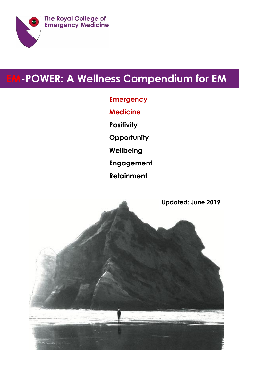

# **EM-POWER: A Wellness Compendium for EM**

- **Emergency Medicine Positivity Opportunity Wellbeing Engagement**
- **Retainment**

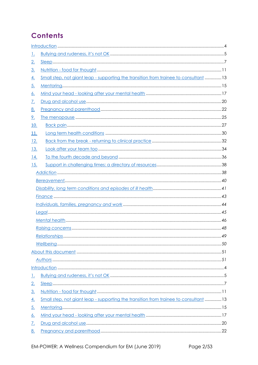## **Contents**

| <u> 1.</u> |                                                                                             |    |  |
|------------|---------------------------------------------------------------------------------------------|----|--|
| <u>2.</u>  |                                                                                             |    |  |
| <u>3.</u>  |                                                                                             |    |  |
| <u>4.</u>  | <u>Small step, not giant leap - supporting the transition from trainee to consultant</u> 13 |    |  |
| <u>5.</u>  |                                                                                             |    |  |
| <u>6.</u>  |                                                                                             |    |  |
| <u>7.</u>  |                                                                                             |    |  |
| <u>8.</u>  |                                                                                             |    |  |
| <u>9.</u>  |                                                                                             |    |  |
| <u>10.</u> |                                                                                             |    |  |
| 11.        |                                                                                             |    |  |
| <u>12.</u> |                                                                                             |    |  |
| <u>13.</u> |                                                                                             |    |  |
| <u>14.</u> |                                                                                             |    |  |
| <u>15.</u> |                                                                                             |    |  |
|            |                                                                                             |    |  |
|            |                                                                                             |    |  |
|            |                                                                                             |    |  |
|            |                                                                                             |    |  |
|            |                                                                                             |    |  |
|            |                                                                                             |    |  |
|            |                                                                                             |    |  |
|            |                                                                                             |    |  |
|            | Relationships.                                                                              | 49 |  |
|            |                                                                                             |    |  |
|            |                                                                                             |    |  |
|            |                                                                                             |    |  |
|            |                                                                                             |    |  |
| <u>1.</u>  |                                                                                             |    |  |
| 2.         |                                                                                             |    |  |
| 3.         |                                                                                             |    |  |
| <u>4.</u>  | Small step, not giant leap - supporting the transition from trainee to consultant 13        |    |  |
| <u>5.</u>  |                                                                                             |    |  |
| <u>6.</u>  |                                                                                             |    |  |
| <u>7.</u>  |                                                                                             |    |  |
| <u>8.</u>  |                                                                                             |    |  |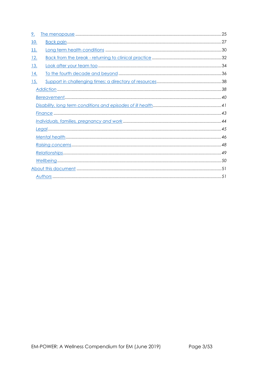| 9.         |  |
|------------|--|
| 10.        |  |
| 11.        |  |
| 12.        |  |
| <u>13.</u> |  |
| 14.        |  |
| 15.        |  |
|            |  |
|            |  |
|            |  |
|            |  |
|            |  |
|            |  |
|            |  |
|            |  |
|            |  |
|            |  |
|            |  |
|            |  |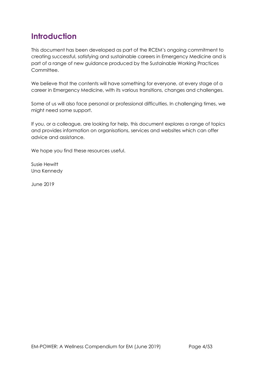## <span id="page-3-0"></span>**Introduction**

This document has been developed as part of the RCEM's ongoing commitment to creating successful, satisfying and sustainable careers in Emergency Medicine and is part of a range of new guidance produced by the Sustainable Working Practices Committee.

We believe that the contents will have something for everyone, at every stage of a career in Emergency Medicine, with its various transitions, changes and challenges.

Some of us will also face personal or professional difficulties. In challenging times, we might need some support.

If you, or a colleague, are looking for help, this document explores a range of topics and provides information on organisations, services and websites which can offer advice and assistance.

We hope you find these resources useful.

Susie Hewitt Una Kennedy

June 2019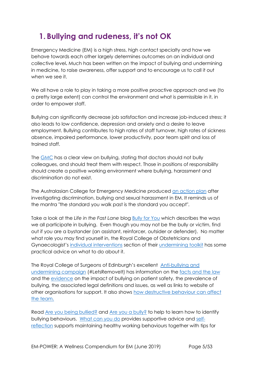## <span id="page-4-0"></span>**1. Bullying and rudeness, it's not OK**

Emergency Medicine (EM) is a high stress, high contact specialty and how we behave towards each other largely determines outcomes on an individual and collective level**.** Much has been written on the impact of bullying and undermining in medicine, to raise awareness, offer support and to encourage us to call it out when we see it.

We all have a role to play in taking a more positive proactive approach and we (to a pretty large extent) can control the environment and what is permissible in it, in order to empower staff.

Bullying can significantly decrease job satisfaction and increase job-induced stress; it also leads to low confidence, depression and anxiety and a desire to leave employment. Bullying contributes to high rates of staff turnover, high rates of sickness absence, impaired performance, lower productivity, poor team spirit and loss of trained staff.

The [GMC](https://www.gmc-uk.org/ethical-guidance/ethical-guidance-for-doctors) has a clear view on bullying, stating that doctors should not bully colleagues, and should treat them with respect. Those in positions of responsibility should create a positive working environment where bullying, harassment and discrimination do not exist.

The Australasian College for Emergency Medicine produced [an action plan](https://acem.org.au/getmedia/533f9238-b12f-44ca-aa2a-38582002591c/ACEM_DBSH_Action_Plan.aspx) after investigating discrimination, bullying and sexual harassment in EM. It reminds us of the mantra "the standard you walk past is the standard you accept".

Take a look at the *Life in the Fast Lane* blog [Bully for You](https://lifeinthefastlane.com/bully-for-you/) which describes the ways we all participate in bullying. Even though you may not be the bully or victim, find out if you are a bystander (an assistant, reinforcer, outsider or defender). No matter what role you may find yourself in, the Royal College of Obstetricians and Gynaecologist's [individual interventions](https://www.rcog.org.uk/en/careers-training/workplace-workforce-issues/improving-workplace-behaviours-dealing-with-undermining/undermining-toolkit/individual-interventions/) section of their [undermining toolkit](https://www.rcog.org.uk/underminingtoolkit) has some practical advice on what to do about it.

The Royal College of Surgeons of Edinburgh's excellent [Anti-bullying and](https://www.rcsed.ac.uk/professional-support-development-resources/anti-bullying-and-undermining-campaign)  [undermining campaign](https://www.rcsed.ac.uk/professional-support-development-resources/anti-bullying-and-undermining-campaign) (#LetsRemovelt) has information on the [facts and the law](https://www.rcsed.ac.uk/professional-support-development-resources/anti-bullying-and-undermining-campaign/the-facts-and-the-law) and the [evidence](https://www.rcsed.ac.uk/professional-support-development-resources/anti-bullying-and-undermining-campaign/literature-and-curriculum) on the impact of bullying on patient safety, the prevalence of bullying, the associated legal definitions and issues, as well as links to website of other organisations for support. It also shows [how destructive behaviour can affect](https://www.rcsed.ac.uk/professional-support-development-resources/anti-bullying-and-undermining-campaign/how-destructive-behaviour-can-affect-the-team)  [the team.](https://www.rcsed.ac.uk/professional-support-development-resources/anti-bullying-and-undermining-campaign/how-destructive-behaviour-can-affect-the-team)

Read [Are you being bullied?](https://www.rcsed.ac.uk/professional-support-development-resources/anti-bullying-and-undermining-campaign/are-you-being-bullied) and [Are you a bully?](https://www.rcsed.ac.uk/professional-support-development-resources/anti-bullying-and-undermining-campaign/are-you-a-bully) to help to learn how to identify bullying behaviours. [What can you do](https://www.rcsed.ac.uk/professional-support-development-resources/anti-bullying-and-undermining-campaign/what-can-you-do) provides supportive advice and [self](https://www.rcsed.ac.uk/professional-support-development-resources/anti-bullying-and-undermining-campaign/self-reflection)[reflection](https://www.rcsed.ac.uk/professional-support-development-resources/anti-bullying-and-undermining-campaign/self-reflection) supports maintaining healthy working behaviours together with tips for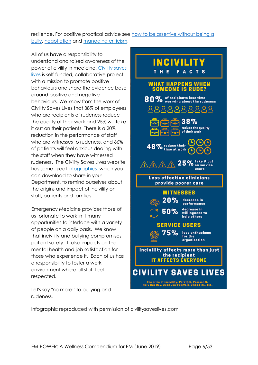resilience. For positive practical advice see how to be assertive without being a [bully,](https://www.rcsed.ac.uk/professional-support-development-resources/anti-bullying-and-undermining-campaign/how-to-be-assertive-without-being-a-bully) [negotiation](https://www.rcsed.ac.uk/professional-support-development-resources/anti-bullying-and-undermining-campaign/negotiation) and [managing criticism.](https://www.rcsed.ac.uk/professional-support-development-resources/anti-bullying-and-undermining-campaign/managing-criticism)

All of us have a responsibility to understand and raised awareness of the power of civility in medicine. [Civility saves](https://www.civilitysaveslives.com/)  [lives](https://www.civilitysaveslives.com/) is self-funded, collaborative project with a mission to promote positive behaviours and share the evidence base around positive and negative behaviours. We know from the work of Civility Saves Lives that 38% of employees who are recipients of rudeness reduce the quality of their work and 25% will take it out on their patients. There is a 20% reduction in the performance of staff who are witnesses to rudeness, and 66% of patients will feel anxious dealing with the staff when they have witnessed rudeness. The Civility Saves Lives website has some great [infographics](https://www.civilitysaveslives.com/copy-of-blog) which you can download to share in your Department, to remind ourselves about the origins and impact of incivility on staff, patients and families.

Emergency Medicine provides those of us fortunate to work in it many opportunities to interface with a variety of people on a daily basis. We know that incivility and bullying compromises patient safety. It also impacts on the mental health and job satisfaction for those who experience it. Each of us has a responsibility to foster a work environment where all staff feel respected.

Let's say "no more!" to bullying and rudeness.



Infographic reproduced with permission of civilitysaveslives.com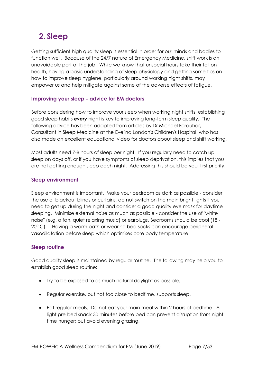## <span id="page-6-0"></span>**2. Sleep**

Getting sufficient high quality sleep is essential in order for our minds and bodies to function well. Because of the 24/7 nature of Emergency Medicine, shift work is an unavoidable part of the job. While we know that unsocial hours take their toll on health, having a basic understanding of sleep physiology and getting some tips on how to improve sleep hygiene, particularly around working night shifts, may empower us and help mitigate against some of the adverse effects of fatigue.

## **Improving your sleep - advice for EM doctors**

Before considering how to improve your sleep when working night shifts, establishing good sleep habits *every* night is key to improving long-term sleep quality. The following advice has been adapted from articles by Dr Michael Farquhar, Consultant in Sleep Medicine at the Evelina London's Children's Hospital, who has also made an excellent educational video for doctors about sleep and shift working.

Most adults need 7-8 hours of sleep per night. If you regularly need to catch up sleep on days off, or if you have symptoms of sleep deprivation, this implies that you are not getting enough sleep each night. Addressing this should be your first priority.

## **Sleep environment**

Sleep environment is important. Make your bedroom as dark as possible - consider the use of blackout blinds or curtains, do not switch on the main bright lights if you need to get up during the night and consider a good quality eye mask for daytime sleeping. Minimise external noise as much as possible - consider the use of "white noise" (e.g. a fan, quiet relaxing music) or earplugs. Bedrooms should be cool (18 - 20° C). Having a warm bath or wearing bed socks can encourage peripheral vasodilatation before sleep which optimises core body temperature.

## **Sleep routine**

Good quality sleep is maintained by regular routine. The following may help you to establish good sleep routine:

- Try to be exposed to as much natural daylight as possible.
- Regular exercise, but not too close to bedtime, supports sleep.
- Eat regular meals. Do not eat your main meal within 2 hours of bedtime. A light pre-bed snack 30 minutes before bed can prevent disruption from nighttime hunger; but avoid evening grazing.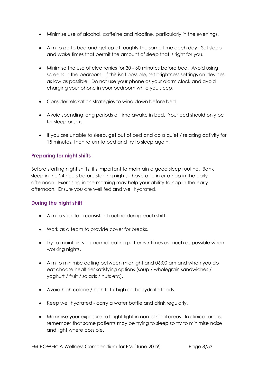- Minimise use of alcohol, caffeine and nicotine, particularly in the evenings.
- Aim to go to bed and get up at roughly the same time each day. Set sleep and wake times that permit the amount of sleep that is right for you.
- Minimise the use of electronics for 30 60 minutes before bed. Avoid using screens in the bedroom. If this isn't possible, set brightness settings on devices as low as possible. Do not use your phone as your alarm clock and avoid charging your phone in your bedroom while you sleep.
- Consider relaxation strategies to wind down before bed.
- Avoid spending long periods of time awake in bed. Your bed should only be for sleep or sex.
- If you are unable to sleep, get out of bed and do a quiet / relaxing activity for 15 minutes, then return to bed and try to sleep again.

## **Preparing for night shifts**

Before starting night shifts, it's important to maintain a good sleep routine. Bank sleep in the 24 hours before starting nights - have a lie in or a nap in the early afternoon. Exercising in the morning may help your ability to nap in the early afternoon. Ensure you are well fed and well hydrated.

## **During the night shift**

- Aim to stick to a consistent routine during each shift.
- Work as a team to provide cover for breaks.
- Try to maintain your normal eating patterns / times as much as possible when working nights.
- Aim to minimise eating between midnight and 06:00 am and when you do eat choose healthier satisfying options (soup / wholegrain sandwiches / yoghurt / fruit / salads / nuts etc).
- Avoid high calorie / high fat / high carbohydrate foods.
- Keep well hydrated carry a water bottle and drink regularly.
- Maximise your exposure to bright light in non-clinical areas. In clinical areas, remember that some patients may be trying to sleep so try to minimise noise and light where possible.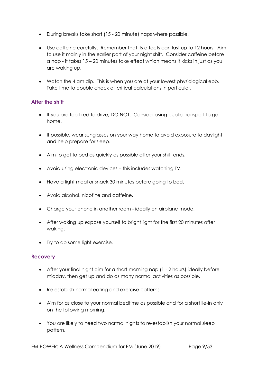- During breaks take short (15 20 minute) naps where possible.
- Use caffeine carefully. Remember that its effects can last up to 12 hours! Aim to use it mainly in the earlier part of your night shift. Consider caffeine before a nap - it takes 15 – 20 minutes take effect which means it kicks in just as you are waking up.
- Watch the 4 am dip. This is when you are at your lowest physiological ebb. Take time to double check all critical calculations in particular.

## **After the shift**

- If you are too tired to drive, DO NOT. Consider using public transport to get home.
- If possible, wear sunglasses on your way home to avoid exposure to daylight and help prepare for sleep.
- Aim to get to bed as quickly as possible after your shift ends.
- Avoid using electronic devices this includes watching TV.
- Have a light meal or snack 30 minutes before going to bed.
- Avoid alcohol, nicotine and caffeine.
- Charge your phone in another room ideally on airplane mode.
- After waking up expose yourself to bright light for the first 20 minutes after waking.
- Try to do some light exercise.

## **Recovery**

- After your final night aim for a short morning nap (1 2 hours) ideally before midday, then get up and do as many normal activities as possible.
- Re-establish normal eating and exercise patterns.
- Aim for as close to your normal bedtime as possible and for a short lie-in only on the following morning.
- You are likely to need two normal nights to re-establish your normal sleep pattern.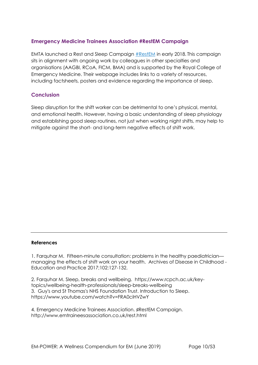## **Emergency Medicine Trainees Association #RestEM Campaign**

EMTA launched a Rest and Sleep Campaign [#RestEM](http://www.emtraineesassociation.co.uk/rest.html) in early 2018. This campaign sits in alignment with ongoing work by colleagues in other specialties and organisations (AAGBI, RCoA, FICM, BMA) and is supported by the Royal College of Emergency Medicine. Their webpage includes links to a variety of resources, including factsheets, posters and evidence regarding the importance of sleep.

### **Conclusion**

Sleep disruption for the shift worker can be detrimental to one's physical, mental, and emotional health. However, having a basic understanding of sleep physiology and establishing good sleep routines, not just when working night shifts, may help to mitigate against the short- and long-term negative effects of shift work.

#### **References**

1. Farquhar M. Fifteen-minute consultation: problems in the healthy paediatrician managing the effects of shift work on your health. Archives of Disease in Childhood - Education and Practice 2017;102:127-132.

2. Farquhar M. Sleep, breaks and wellbeing. https://www.rcpch.ac.uk/keytopics/wellbeing-health-professionals/sleep-breaks-wellbeing 3. Guy's and St Thomas's NHS Foundation Trust. Introduction to Sleep. https://www.youtube.com/watch?v=FRA0ciHVZwY

4. Emergency Medicine Trainees Association. ♯RestEM Campaign. http://www.emtraineesassociation.co.uk/rest.html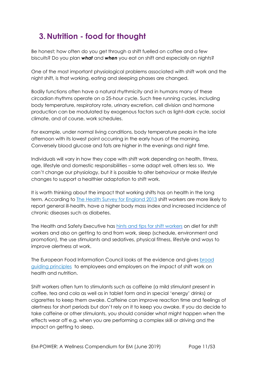## <span id="page-10-0"></span>**3. Nutrition - food for thought**

Be honest; how often do you get through a shift fuelled on coffee and a few biscuits? Do you plan *what* and *when* you eat on shift and especially on nights?

One of the most important physiological problems associated with shift work and the night shift, is that working, eating and sleeping phases are changed.

Bodily functions often have a natural rhythmicity and in humans many of these circadian rhythms operate on a 25-hour cycle. Such free running cycles, including body temperature, respiratory rate, urinary excretion, cell division and hormone production can be modulated by exogenous factors such as light-dark cycle, social climate, and of course, work schedules.

For example, under normal living conditions, body temperature peaks in the late afternoon with its lowest point occurring in the early hours of the morning. Conversely blood glucose and fats are higher in the evenings and night time.

Individuals will vary in how they cope with shift work depending on health, fitness, age, lifestyle and domestic responsibilities – some adapt well, others less so. We can't change our physiology, but it is possible to alter behaviour or make lifestyle changes to support a healthier adaptation to shift work.

It is worth thinking about the impact that working shifts has on health in the long term. According to [The Health Survey for England 2013](http://www.hscic.gov.uk/catalogue/PUB16076) shift workers are more likely to report general ill-health, have a higher body mass index and increased incidence of chronic diseases such as diabetes.

The Health and Safety Executive has [hints and tips for shift workers](http://www.hse.gov.uk/humanfactors/topics/shift-workers.htm) on diet for shift workers and also on getting to and from work, sleep (schedule, environment and promotion), the use stimulants and sedatives, physical fitness, lifestyle and ways to improve alertness at work.

The European Food Information Council looks at the evidence and gives [broad](https://www.eufic.org/en/healthy-living/article/shift-work-implications-for-health-and-nutrition)  [guiding principles](https://www.eufic.org/en/healthy-living/article/shift-work-implications-for-health-and-nutrition) [t](https://www.eufic.org/en/healthy-living/article/shift-work-implications-for-health-and-nutrition)o employees and employers on the impact of shift work on health and nutrition.

Shift workers often turn to stimulants such as caffeine (a mild stimulant present in coffee, tea and cola as well as in tablet form and in special 'energy' drinks) or cigarettes to keep them awake. Caffeine can improve reaction time and feelings of alertness for short periods but don't rely on it to keep you awake. If you do decide to take caffeine or other stimulants, you should consider what might happen when the effects wear off e.g. when you are performing a complex skill or driving and the impact on getting to sleep.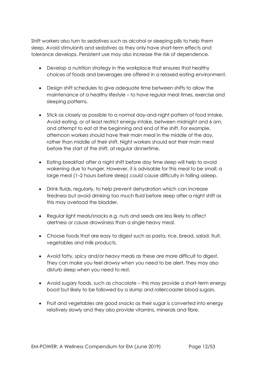Shift workers also turn to sedatives such as alcohol or sleeping pills to help them sleep. Avoid stimulants and sedatives as they only have short-term effects and tolerance develops. Persistent use may also increase the risk of dependence.

- Develop a nutrition strategy in the workplace that ensures that healthy choices of foods and beverages are offered in a relaxed eating environment.
- Design shift schedules to give adequate time between shifts to allow the maintenance of a healthy lifestyle – to have regular meal times, exercise and sleeping patterns.
- Stick as closely as possible to a normal day-and-night pattern of food intake. Avoid eating, or at least restrict energy intake, between midnight and 6 am, and attempt to eat at the beginning and end of the shift. For example, afternoon workers should have their main meal in the middle of the day, rather than middle of their shift. Night workers should eat their main meal before the start of the shift, at regular dinnertime.
- Eating breakfast after a night shift before day time sleep will help to avoid wakening due to hunger. However, it is advisable for this meal to be small; a large meal (1–2 hours before sleep) could cause difficulty in falling asleep.
- Drink fluids, regularly, to help prevent dehydration which can increase tiredness but avoid drinking too much fluid before sleep after a night shift as this may overload the bladder.
- Regular light meals/snacks e.g. nuts and seeds are less likely to affect alertness or cause drowsiness than a single heavy meal.
- Choose foods that are easy to digest such as pasta, rice, bread, salad, fruit, vegetables and milk products.
- Avoid fatty, spicy and/or heavy meals as these are more difficult to digest. They can make you feel drowsy when you need to be alert. They may also disturb sleep when you need to rest.
- Avoid sugary foods, such as chocolate this may provide a short-term energy boost but likely to be followed by a slump and rollercoaster blood sugars.
- Fruit and vegetables are good snacks as their sugar is converted into energy relatively slowly and they also provide vitamins, minerals and fibre.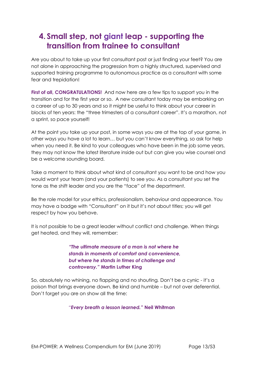## <span id="page-12-0"></span>**4. Small step, not giant leap - supporting the transition from trainee to consultant**

Are you about to take up your first consultant post or just finding your feet? You are not alone in approaching the progression from a highly structured, supervised and supported training programme to autonomous practice as a consultant with some fear and trepidation!

**First of all, CONGRATULATIONS!** And now here are a few tips to support you in the transition and for the first year or so. A new consultant today may be embarking on a career of up to 30 years and so it might be useful to think about your career in blocks of ten years: the "three trimesters of a consultant career". It's a marathon, not a sprint, so pace yourself!

At the point you take up your post, in some ways you are at the top of your game, in other ways you have a lot to learn… but you can't know everything, so ask for help when you need it. Be kind to your colleagues who have been in the job some years, they may not know the latest literature inside out but can give you wise counsel and be a welcome sounding board.

Take a moment to think about what kind of consultant you want to be and how you would want your team (and your patients) to see you. As a consultant you set the tone as the shift leader and you are the "face" of the department.

Be the role model for your ethics, professionalism, behaviour and appearance. You may have a badge with "Consultant" on it but it's not about titles; you will get respect by how you behave.

It is not possible to be a great leader without conflict and challenge. When things get heated, and they will, remember:

> *"The ultimate measure of a man is not where he stands in moments of comfort and convenience, but where he stands in times of challenge and controversy."* **Martin Luther King**

So, absolutely no whining, no flapping and no shouting*.* Don't be a cynic - it's a poison that brings everyone down. Be kind and humble – but not over deferential. Don't forget you are on show all the time:

*"Every breath a lesson learned."* **Neil Whitman**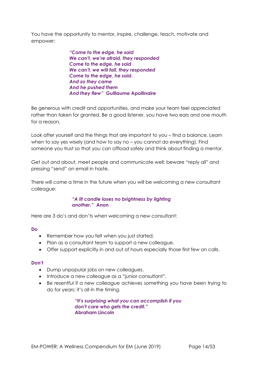You have the opportunity to mentor, inspire, challenge, teach, motivate and empower:

> *"Come to the edge, he said We can't, we're afraid, they responded Come to the edge, he said We can't, we will fall, they responded Come to the edge, he said. And so they came And he pushed them And they flew"* **Guillaume Apollinaire**

Be generous with credit and opportunities, and make your team feel appreciated rather than taken for granted. Be a good listener, you have two ears and one mouth for a reason.

Look after yourself and the things that are important to you – find a balance. Learn when to say yes wisely (and how to say no – you cannot do everything). Find someone you trust so that you can offload safely and think about finding a mentor.

Get out and about, meet people and communicate well: beware "reply all" and pressing "send" on email in haste.

There will come a time in the future when you will be welcoming a new consultant colleague:

#### *"A lit candle loses no brightness by lighting another."* **Anon**

Here are 3 do's and don'ts when welcoming a new consultant:

#### **Do**

- Remember how you felt when you just started.
- Plan as a consultant team to support a new colleague.
- Offer support explicitly in and out of hours especially those first few on calls.

#### **Don't**

- Dump unpopular jobs on new colleagues.
- Introduce a new colleague as a "junior consultant".
- Be resentful if a new colleague achieves something you have been trying to do for years: it's all in the timing.

*"It's surprising what you can accomplish if you don't care who gets the credit."* **Abraham Lincoln**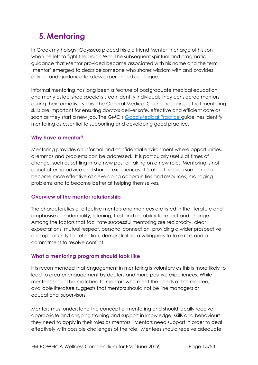## <span id="page-14-0"></span>**5. Mentoring**

In Greek mythology, Odysseus placed his old friend Mentor in charge of his son when he left to fight the Trojan War. The subsequent spiritual and pragmatic guidance that Mentor provided became associated with his name and the term 'mentor' emerged to describe someone who shares wisdom with and provides advice and guidance to a less experienced colleague.

Informal mentoring has long been a feature of postgraduate medical education and many established specialists can identify individuals they considered mentors during their formative years. The General Medical Council recognises that mentoring skills are important for ensuring doctors deliver safe, effective and efficient care as soon as they start a new job. The GMC's [Good Medical Practice](https://www.gmc-uk.org/-/media/documents/good-medical-practice---english-1215_pdf-51527435.pdf) guidelines identify mentoring as essential to supporting and developing good practice.

## **Why have a mentor?**

Mentoring provides an informal and confidential environment where opportunities, dilemmas and problems can be addressed. It is particularly useful at times of change, such as settling into a new post or taking on a new role. Mentoring is not about offering advice and sharing experiences. It's about helping someone to become more effective at developing opportunities and resources, managing problems and to become better at helping themselves.

## **Overview of the mentor relationship**

The characteristics of effective mentors and mentees are listed in the literature and emphasise confidentiality, listening, trust and an ability to reflect and change. Among the factors that facilitate successful mentoring are reciprocity, clear expectations, mutual respect, personal connection, providing a wider prospective and opportunity for reflection, demonstrating a willingness to take risks and a commitment to resolve conflict.

## **What a mentoring program should look like**

It is recommended that engagement in mentoring is voluntary as this is more likely to lead to greater engagement by doctors and more positive experiences. While mentees should be matched to mentors who meet the needs of the mentee, available literature suggests that mentors should not be line managers or educational supervisors.

Mentors must understand the concept of mentoring and should ideally receive appropriate and ongoing training and support in knowledge, skills and behaviours they need to apply in their roles as mentors. Mentors need support in order to deal effectively with possible challenges of the role. Mentees should receive adequate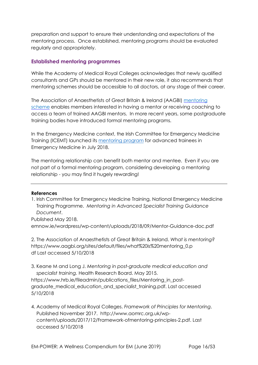preparation and support to ensure their understanding and expectations of the mentoring process. Once established, mentoring programs should be evaluated regularly and appropriately.

## **Established mentoring programmes**

While the Academy of Medical Royal Colleges acknowledges that newly qualified consultants and GPs should be mentored in their new role, it also recommends that mentoring schemes should be accessible to all doctors, at any stage of their career.

The Association of Anaesthetists of Great Britain & Ireland (AAGBI) [mentoring](https://www.aagbi.org/professionals/welfare/mentoring/aagbi-mentoring-scheme) [scheme](https://www.aagbi.org/professionals/welfare/mentoring/aagbi-mentoring-scheme) enables members interested in having a mentor or receiving coaching to access a team of trained AAGBI mentors. In more recent years, some postgraduate training bodies have introduced formal mentoring programs.

In the Emergency Medicine context, the Irish Committee for Emergency Medicine Training (ICEMT) launched its [mentoring program](http://emnow.ie/wordpress/wp-content/uploads/2018/09/Mentor-Guidance-doc.pdf) for advanced trainees in Emergency Medicine in July 2018.

The mentoring relationship can benefit both mentor and mentee. Even if you are not part of a formal mentoring program, considering developing a mentoring relationship - you may find it hugely rewarding!

#### **References**

1. Irish Committee for Emergency Medicine Training, National Emergency Medicine Training Programme. *Mentoring in Advanced Specialist Training Guidance Document*.

Published May 2018. emnow.ie/wordpress/wp-content/uploads/2018/09/Mentor-Guidance-doc.pdf

2. The Association of Anaesthetists of Great Britain & Ireland. *What is mentoring?* https://www.aagbi.org/sites/default/files/what%20is%20mentoring\_0.p df Last accessed 5/10/2018

3. Keane M and Long J. *Mentoring in post-graduate medical education and specialist training.* Health Research Board. May 2015.

https://www.hrb.ie/fileadmin/publications\_files/Mentoring\_in\_postgraduate\_medical\_education\_and\_specialist\_training.pdf. Last accessed 5/10/2018

4. Academy of Medical Royal Colleges. *Framework of Principles for Mentoring*. Published November 2017. http://www.aomrc.org.uk/wpcontent/uploads/2017/12/Framework-ofmentoring-principles-2.pdf. Last accessed 5/10/2018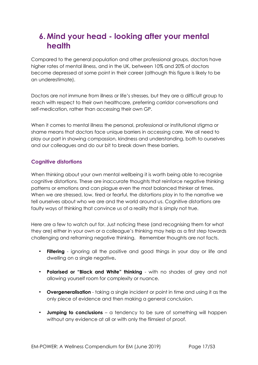## <span id="page-16-0"></span>**6. Mind your head - looking after your mental health**

Compared to the general population and other professional groups, doctors have higher rates of mental illness, and in the UK, between 10% and 20% of doctors become depressed at some point in their career (although this figure is likely to be an underestimate).

Doctors are not immune from illness or life's stresses, but they are a difficult group to reach with respect to their own healthcare, preferring corridor conversations and self-medication, rather than accessing their own GP.

When it comes to mental illness the personal, professional or institutional stigma or shame means that doctors face unique barriers in accessing care. We all need to play our part in showing compassion, kindness and understanding, both to ourselves and our colleagues and do our bit to break down these barriers.

## **Cognitive distortions**

When thinking about your own mental wellbeing it is worth being able to recognise cognitive distortions. These are inaccurate thoughts that reinforce negative thinking patterns or emotions and can plague even the most balanced thinker at times. When we are stressed, low, tired or fearful, the distortions play in to the narrative we tell ourselves about who we are and the world around us. Cognitive distortions are faulty ways of thinking that convince us of a reality that is simply not true.

Here are a few to watch out for. Just noticing these (and recognising them for what they are) either in your own or a colleague's thinking may help as a first step towards challenging and reframing negative thinking. Remember thoughts are not facts.

- **Filtering**  ignoring all the positive and good things in your day or life and dwelling on a single negative**.**
- **Polarised or "Black and White" thinking**  with no shades of grey and not allowing yourself room for complexity or nuance.
- **Overgeneralisation**  taking a single incident or point in time and using it as the only piece of evidence and then making a general conclusion.
- **Jumping to conclusions**  a tendency to be sure of something will happen without any evidence at all or with only the flimsiest of proof.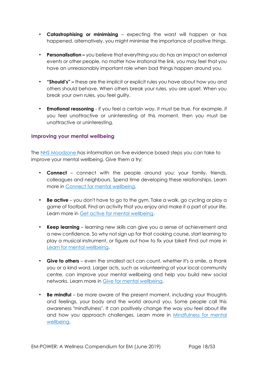- **Catastrophising or minimising**  expecting the worst will happen or has happened, alternatively, you might minimise the importance of positive things.
- **Personalisation –** you believe that everything you do has an impact on external events or other people, no matter how irrational the link, you may feel that you have an unreasonably important role when bad things happen around you.
- **"Should's" –** these are the implicit or explicit rules you have about how you and others should behave. When others break your rules, you are upset. When you break your own rules, you feel guilty.
- **Emotional reasoning**  if you feel a certain way, it must be true. For example, if you feel unattractive or uninteresting at this moment, then you must be unattractive or uninteresting.

## **Improving your mental wellbeing**

The NHS [Moodzone](https://www.nhs.uk/conditions/stress-anxiety-depression/improve-mental-wellbeing/) [h](https://www.nhs.uk/conditions/stress-anxiety-depression/improve-mental-wellbeing/)as information on five evidence based steps you can take to improve your mental wellbeing. Give them a try:

- **Connect** connect with the people around you: your family, friends, colleagues and neighbours. Spend time developing these relationships. Learn more in [Connect for mental wellbeing.](https://www.nhs.uk/conditions/stress-anxiety-depression/connect-for-mental-wellbeing/)
- **Be active** you don't have to go to the gym. Take a walk, go cycling or play a game of football. Find an activity that you enjoy and make it a part of your life. Learn more in [Get active for mental wellbeing.](https://www.nhs.uk/conditions/stress-anxiety-depression/mental-benefits-of-exercise/)
- **Keep learning** learning new skills can give you a sense of achievement and a new confidence. So why not sign up for that cooking course, start learning to play a musical instrument, or figure out how to fix your bike? Find out more i[n](https://www.nhs.uk/conditions/stress-anxiety-depression/learn-for-mental-wellbeing/) [Learn for mental wellbeing.](https://www.nhs.uk/conditions/stress-anxiety-depression/learn-for-mental-wellbeing/)
- **Give to others** even the smallest act can count, whether it's a smile, a thank you or a kind word. Larger acts, such as volunteering at your local community centre, can improve your mental wellbeing and help you build new social networks. Learn more in [Give for mental wellbeing.](https://www.nhs.uk/conditions/stress-anxiety-depression/give-for-mental-wellbeing/)
- **Be mindful** be more aware of the present moment, including your thoughts and feelings, your body and the world around you. Some people call this awareness "mindfulness". It can positively change the way you feel about life a[n](https://www.nhs.uk/conditions/stress-anxiety-depression/mindfulness/)d how you approach challenges. Learn more in Mindfulness for mental [wellbeing.](https://www.nhs.uk/conditions/stress-anxiety-depression/mindfulness/)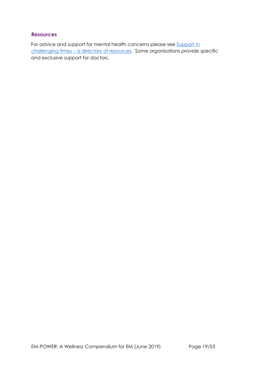## **Resources**

For advice and support for mental health concerns please see Support in [challenging times](#page-37-0) - a directory of resources. Some organisations provide specific and exclusive support for doctors.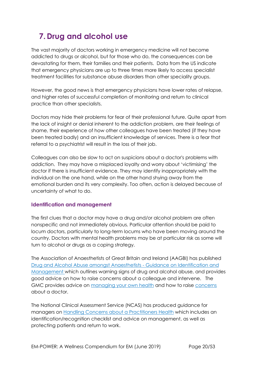## <span id="page-19-0"></span>**7. Drug and alcohol use**

The vast majority of doctors working in emergency medicine will not become addicted to drugs or alcohol, but for those who do, the consequences can be devastating for them, their families and their patients. Data from the US indicate that emergency physicians are up to three times more likely to access specialist treatment facilities for substance abuse disorders than other speciality groups.

However, the good news is that emergency physicians have lower rates of relapse, and higher rates of successful completion of monitoring and return to clinical practice than other specialists.

Doctors may hide their problems for fear of their professional future. Quite apart from the lack of insight or denial inherent to the addiction problem, are their feelings of shame, their experience of how other colleagues have been treated (if they have been treated badly) and an insufficient knowledge of services. There is a fear that referral to a psychiatrist will result in the loss of their job.

Colleagues can also be slow to act on suspicions about a doctor's problems with addiction. They may have a misplaced loyalty and worry about 'victimising' the doctor if there is insufficient evidence. They may identify inappropriately with the individual on the one hand, while on the other hand shying away from the emotional burden and its very complexity. Too often, action is delayed because of uncertainty of what to do.

## **Identification and management**

The first clues that a doctor may have a drug and/or alcohol problem are often nonspecific and not immediately obvious. Particular attention should be paid to locum doctors, particularly to long-term locums who have been moving around the country. Doctors with mental health problems may be at particular risk as some will turn to alcohol or drugs as a coping strategy.

The Association of Anaesthetists of Great Britain and Ireland (AAGBI) has published [Drug and Alcohol Abuse amongst Anaesthetists -](https://www.aagbi.org/sites/default/files/drug_and_alcohol_abuse_2011.pdf) [Guidance on Identification and](https://www.aagbi.org/sites/default/files/drug_and_alcohol_abuse_2011.pdf) [Management](https://www.aagbi.org/sites/default/files/drug_and_alcohol_abuse_2011.pdf) [w](https://www.aagbi.org/sites/default/files/drug_and_alcohol_abuse_2011.pdf)hich outlines warning signs of drug and alcohol abuse, and provides good advice on how to raise concerns about a colleague and intervene. The GMC provides advice on [managing your own health](https://www.gmc-uk.org/concerns/information-for-doctors-under-investigation/support-for-doctors/managing-your-health/managing-your-health-condition) and how to raise [concerns](https://www.gmc-uk.org/concerns) about a doctor.

The National Clinical Assessment Service (NCAS) has produced guidance for managers o[n](https://www.ncas.nhs.uk/EasySiteWeb/GatewayLink.aspx?alId=94728) [Handling Concerns about a Practitioners Health](https://www.ncas.nhs.uk/EasySiteWeb/GatewayLink.aspx?alId=94728) which includes an identification/recognition checklist and advice on management, as well as protecting patients and return to work.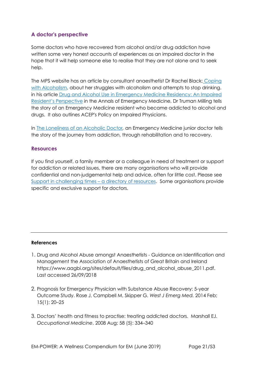## **A doctor's perspective**

Some doctors who have recovered from alcohol and/or drug addiction have written some very honest accounts of experiences as an impaired doctor in the hope that it will help someone else to realise that they are not alone and to seek help.

The MPS website has an article by consultant anaesthetist Dr Rachel Black[:](https://www.medicalprotection.org/uk/articles/coping-with-alcoholism) [Coping](https://www.medicalprotection.org/uk/articles/coping-with-alcoholism) [with Alcoholism,](https://www.medicalprotection.org/uk/articles/coping-with-alcoholism) about her struggles with alcoholism and attempts to stop drinking. in his article [Drug and Alcohol Use in Emergency Medicine Residency: An Impaired](https://www.annemergmed.com/article/S0196-0644(05)00341-0/pdf?code=ymem-site) [Resident's P](https://www.annemergmed.com/article/S0196-0644(05)00341-0/pdf?code=ymem-site)[erspective](https://www.annemergmed.com/article/S0196-0644(05)00341-0/pdf?code=ymem-site) [i](https://www.annemergmed.com/article/S0196-0644(05)00341-0/pdf?code=ymem-site)n the Annals of Emergency Medicine, Dr Truman Milling tells the story of an Emergency Medicine resident who became addicted to alcohol and drugs. It also outlines ACEP's Policy on Impaired Physicians.

In [The Loneliness of an Alcoholic Doctor](https://alcoholselfhelpnews.wordpress.com/2007/09/30/the-loneliness-of-an-alcoholic-doctor/)*[,](https://alcoholselfhelpnews.wordpress.com/2007/09/30/the-loneliness-of-an-alcoholic-doctor/)* an Emergency Medicine junior doctor tells the story of the journey from addiction, through rehabilitation and to recovery.

## **Resources**

If you find yourself, a family member or a colleague in need of treatment or support for addiction or related issues, there are many organisations who will provide confidential and non-judgemental help and advice, often for little cost. Please see [Support in challenging times](#page-37-0) – a directory of resources. Some organisations provide specific and exclusive support for doctors.

#### **References**

- 1. Drug and Alcohol Abuse amongst Anaesthetists Guidance on Identification and Management the Association of Anaesthetists of Great Britain and Ireland https://www.aagbi.org/sites/default/files/drug\_and\_alcohol\_abuse\_2011.pdf. Last accessed 26/09/2018
- 2. Prognosis for Emergency Physician with Substance Abuse Recovery: 5-year Outcome Study. Rose J, Campbell M, Skipper G. *West J Emerg Med.* 2014 Feb; 15(1): 20–25
- 3. Doctors' health and fitness to practise: treating addicted doctors. Marshall EJ. *Occupational Medicine*, 2008 Aug; 58 (5): 334–340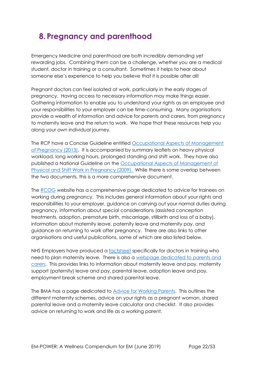## <span id="page-21-0"></span>**8. Pregnancy and parenthood**

Emergency Medicine and parenthood are both incredibly demanding yet rewarding jobs. Combining them can be a challenge, whether you are a medical student, doctor in training or a consultant. Sometimes it helps to hear about someone else's experience to help you believe that it is possible after all!

Pregnant doctors can feel isolated at work, particularly in the early stages of pregnancy. Having access to necessary information may make things easier. Gathering information to enable you to understand your rights as an employee and your responsibilities to your employer can be time-consuming. Many organisations provide a wealth of information and advice for parents and carers, from pregnancy to maternity leave and the return to work. We hope that these resources help you along your own individual journey.

The RCP have a Concise Guideline entitled [Occupational Aspects of Management](https://www.rcplondon.ac.uk/guidelines-policy/pregnancy-occupational-aspects-management)  [of Pregnancy \(2013\).](https://www.rcplondon.ac.uk/guidelines-policy/pregnancy-occupational-aspects-management) It is accompanied by summary leaflets on heavy physical workload, long working hours, prolonged standing and shift work. They have also published a National Guideline on the [Occupational Aspects of Management of](https://www.rcplondon.ac.uk/guidelines-policy/physical-and-shift-work-pregnancy-occupational-aspects-management-2009)  [Physical and Shift Work in Pregnancy \(2009\).](https://www.rcplondon.ac.uk/guidelines-policy/physical-and-shift-work-pregnancy-occupational-aspects-management-2009) While there is some overlap between the two documents, this is a more comprehensive document.

The [RCOG](https://www.rcog.org.uk/en/careers-training/resources--support-for-trainees/advice-and-support-for-trainees/working-during-pregnancy-advice-for-trainees/) website has a comprehensive page dedicated to advice for trainees on working during pregnancy. This includes general information about your rights and responsibilities to your employer, guidance on carrying out your normal duties during pregnancy, information about special considerations (assisted conception treatments, adoption, premature birth, miscarriage, stillbirth and loss of a baby), information about maternity leave, paternity leave and maternity pay, and guidance on returning to work after pregnancy. There are also links to other organisations and useful publications, some of which are also listed below.

NHS Employers have produced a [factsheet](http://www.nhsemployers.org/-/media/Employers/Documents/SiteCollectionDocuments/Maternity-Factsheet.pdf?la=en&hash=AD0AF4E4DEF215EEFF471EE5278630AE1D37C063) specifically for doctors in training who need to plan maternity leave. There is also a [webpage dedicated to parents and](http://www.nhsemployers.org/your-workforce/pay-and-reward/agenda-for-change/nhs-terms-and-conditions-of-service-handbook/parents-and-carers)  [carers.](http://www.nhsemployers.org/your-workforce/pay-and-reward/agenda-for-change/nhs-terms-and-conditions-of-service-handbook/parents-and-carers) This provides links to information about maternity leave and pay, maternity support (paternity) leave and pay, parental leave, adoption leave and pay, employment break scheme and shared parental leave.

The BMA has a page dedicated to **Advice for Working Parents**. This outlines the different maternity schemes, advice on your rights as a pregnant woman, shared parental leave and a maternity leave calculator and checklist. It also provides advice on returning to work and life as a working parent.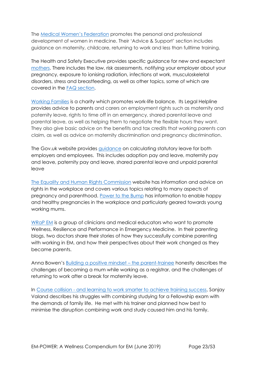The [Medical Women's Federation](http://www.medicalwomensfederation.org.uk/) promotes the personal and professional development of women in medicine. Their 'Advice & Support' section includes guidance on maternity, childcare, returning to work and less than fulltime training.

The Health and Safety Executive provides specific guidance for new and expectant [mothers.](http://www.hse.gov.uk/mothers/) There includes the law, risk assessments, notifying your employer about your pregnancy, exposure to ionising radiation, infections at work, musculoskeletal disorders, stress and breastfeeding, as well as other topics, some of which are covered in the [FAQ section.](http://www.hse.gov.uk/mothers/faqs.htm#q23)

[Working Families](https://www.workingfamilies.org.uk/) is a charity which promotes work-life balance. Its Legal Helpline provides advice to parents and carers on employment rights such as maternity and paternity leave, rights to time off in an emergency, shared parental leave and parental leave, as well as helping them to negotiate the flexible hours they want. They also give basic advice on the benefits and tax credits that working parents can claim, as well as advice on maternity discrimination and pregnancy discrimination.

The Gov.uk website provides [guidance](https://www.gov.uk/browse/employing-people/time-off) on calculating statutory leave for both employers and employees. This includes adoption pay and leave, maternity pay and leave, paternity pay and leave, shared parental leave and unpaid parental leave

[The Equality and Human Rights Commission](https://www.equalityhumanrights.com/en) website has information and advice on rights in the workplace and covers various topics relating to many aspects of pregnancy and parenthood. [Power to the Bump](https://www.equalityhumanrights.com/en/power-bump) has information to enable happy and healthy pregnancies in the workplace and particularly geared towards young working mums.

[WRaP EM](https://wrapem.org/) is a group of clinicians and medical educators who want to promote Wellness, Resilience and Performance in Emergency Medicine. In their parenting blogs, two doctors share their stories of how they successfully combine parenting with working in EM, and how their perspectives about their work changed as they became parents.

Anna Bowen's [Building a positive mindset](https://wrapem.org/2018/06/11/parenting-part-1/) – the parent-trainee honestly describes the challenges of becoming a mum while working as a registrar, and the challenges of returning to work after a break for maternity leave.

In Course collision - [and learning to work smarter to achieve training success,](https://wrapem.org/2018/06/11/parenting-part-2/) Sanjay Valand describes his struggles with combining studying for a Fellowship exam with the demands of family life. He met with his trainer and planned how best to minimise the disruption combining work and study caused him and his family.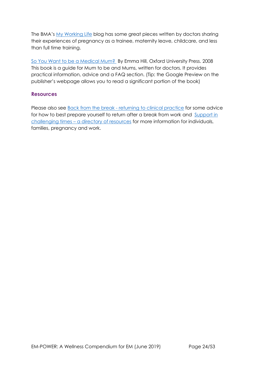The BMA's [My Working Life](https://www.bma.org.uk/connecting-doctors/tags/pregnancy) blog has some great pieces written by doctors sharing their experiences of pregnancy as a trainee, maternity leave, childcare, and less than full time training.

[So You Want to be a Medical Mum?](https://global.oup.com/academic/product/so-you-want-to-be-a-medical-mum-9780199237586?cc=us&lang=en&) By Emma Hill, Oxford University Press. 2008 This book is a guide for Mum to be and Mums, written for doctors. It provides practical information, advice and a FAQ section. (Tip: the Google Preview on the publisher's webpage allows you to read a significant portion of the book)

### **Resources**

Please also see Back from the break - [returning to clinical practice](#page-31-0) for some advice for how to best prepare yourself to return after a break from work and [Support in](#page-37-0)  challenging times – [a directory of resources](#page-37-0) for more information for individuals, families, pregnancy and work.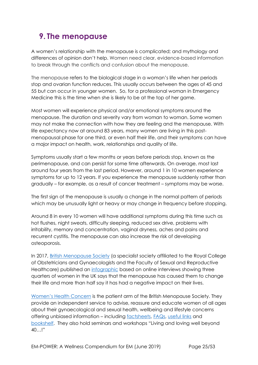## <span id="page-24-0"></span>**9. The menopause**

A women's relationship with the menopause is complicated; and mythology and differences of opinion don't help. Women need clear, evidence-based information to break through the conflicts and confusion about the menopause.

The menopause refers to the biological stage in a woman's life when her periods stop and ovarian function reduces. This usually occurs between the ages of 45 and 55 but can occur in younger women. So, for a professional woman in Emergency Medicine this is the time when she is likely to be at the top of her game.

Most women will experience physical and/or emotional symptoms around the menopause. The duration and severity vary from woman to woman. Some women may not make the connection with how they are feeling and the menopause. With life expectancy now at around 83 years, many women are living in this postmenopausal phase for one third, or even half their life, and their symptoms can have a major impact on health, work, relationships and quality of life.

Symptoms usually start a few months or years before periods stop, known as the perimenopause, and can persist for some time afterwards. On average, most last around four years from the last period. However, around 1 in 10 women experience symptoms for up to 12 years. If you experience the menopause suddenly rather than gradually – for example, as a result of cancer treatment – symptoms may be worse.

The first sign of the menopause is usually a change in the normal pattern of periods which may be unusually light or heavy or may change in frequency before stopping.

Around 8 in every 10 women will have additional symptoms during this time such as hot flushes, night sweats, difficulty sleeping, reduced sex drive, problems with irritability, memory and concentration, vaginal dryness, aches and pains and recurrent cystitis. The menopause can also increase the risk of developing osteoporosis.

In 2017, [British Menopause Society](https://thebms.org.uk/) (a specialist society affiliated to the Royal College of Obstetricians and Gynaecologists and the Faculty of Sexual and Reproductive Healthcare) published an [infographic](https://thebms.org.uk/_wprs/wp-content/uploads/2016/04/BMS-Infographic-10-October2017-01C.pdf) based on online interviews showing three quarters of women in the UK says that the menopause has caused them to change their life and more than half say it has had a negative impact on their lives.

[Women's Health Concern](https://www.womens-health-concern.org/) is the patient arm of the British Menopause Society. They provide an independent service to advise, reassure and educate women of all ages about their gynaecological and sexual health, wellbeing and lifestyle concerns offering unbiased information – including [factsheets,](https://www.womens-health-concern.org/help-and-advice/factsheets/) [FAQs,](https://www.womens-health-concern.org/help-and-advice/faqs/) [useful links](https://www.womens-health-concern.org/help-and-advice/useful-links/) and [bookshelf](https://www.womens-health-concern.org/help-and-advice/whc-bookshelf/). They also hold seminars and workshops "Living and loving well beyond 40…!"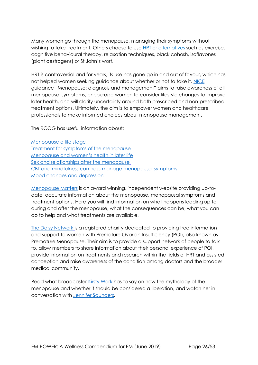Many women go through the menopause, managing their symptoms without wishing to take treatment. Others choose to use **HRT** or alternatives such as exercise, cognitive behavioural therapy, relaxation techniques, black cohosh, isoflavones (plant oestrogens) or St John's wort.

HRT is controversial and for years, its use has gone go in and out of favour, which has not helped women seeking guidance about whether or not to take it. [NICE](https://www.nice.org.uk/guidance/NG23) guidance "Menopause: diagnosis and management" aims to raise awareness of all menopausal symptoms, encourage women to consider lifestyle changes to improve later health, and will clarify uncertainty around both prescribed and non-prescribed treatment options. Ultimately, the aim is to empower women and healthcare professionals to make informed choices about menopause management.

The RCOG has useful information about:

[Menopause a life stage](mailto:https://www.rcog.org.uk/en/patients/menopause/menopause---a-life-stage/) [Treatment for symptoms of the](https://www.rcog.org.uk/en/patients/patient-leaflets/treatment-symptoms-menopause/?_t_id=1B2M2Y8AsgTpgAmY7PhCfg%3d%3d&_t_q=menopause&_t_tags=language%3aen%2csiteid%3a39338ee9-cb61-4e10-a686-8f4a5e1b76d7&_t_ip=109.154.90.28&_t_hit.id=EPiServer_Templates_RCOG_Models_Pages_PatientGuidelinesDetailsType/_8104692e-2b5f-4aa7-8c4c-e63f228480af_en&_t_hit.pos=10) menopause Menopause [and women's hea](https://www.rcog.org.uk/en/patients/menopause/?_t_id=1B2M2Y8AsgTpgAmY7PhCfg%3d%3d&_t_q=menopause&_t_tags=language%3aen%2csiteid%3a39338ee9-cb61-4e10-a686-8f4a5e1b76d7&_t_ip=109.154.90.28&_t_hit.id=EPiServer_Templates_RCOG_Models_Pages_ContentPageWithRHColumnType/_97bd9bdd-d6ad-400d-9d51-bf153115a96b_en&_t_hit.pos=18)lth in later life [Sex and relationships after the](https://www.rcog.org.uk/en/patients/menopause/sex-and-relationships-after-the-menopause/?_t_id=1B2M2Y8AsgTpgAmY7PhCfg%3d%3d&_t_q=menopause&_t_tags=language%3aen%2csiteid%3a39338ee9-cb61-4e10-a686-8f4a5e1b76d7&_t_ip=109.154.90.28&_t_hit.id=EPiServer_Templates_RCOG_Models_Pages_ContentPageWithNavigationType/_3360190a-71cf-4d3a-a476-a03bbe876631_en&_t_hit.pos=16) menopause [CBT and mindfulness can help manage](https://www.rcog.org.uk/en/news/cognitive-behavioural-therapy-and-mindfulness-can-help-manage-menopausal-symptoms/?_t_id=1B2M2Y8AsgTpgAmY7PhCfg%3d%3d&_t_q=menopause&_t_tags=language%3aen%2csiteid%3a39338ee9-cb61-4e10-a686-8f4a5e1b76d7&_t_ip=109.154.90.28&_t_hit.id=EPiServer_Templates_RCOG_Models_Pages_NewsArticleType/_bf3a8979-b466-4841-a882-d396418da1bb_en&_t_hit.pos=30) menopausal symptoms [Mood changes and depression](https://www.rcog.org.uk/en/patients/menopause/mood-changes-and-depression/?_t_id=1B2M2Y8AsgTpgAmY7PhCfg%3d%3d&_t_q=menopause&_t_tags=language%3aen%2csiteid%3a39338ee9-cb61-4e10-a686-8f4a5e1b76d7&_t_ip=109.154.90.28&_t_hit.id=EPiServer_Templates_RCOG_Models_Pages_ContentPageWithNavigationType/_8cd17622-72ad-4ef7-9504-931b09a9c9fd_en&_t_hit.pos=39)

[Menopause Matters](http://www.menopausematters.co.uk/) is an award winning, independent website providing up-todate, accurate information about the menopause, menopausal symptoms and treatment options. Here you will find information on what happens leading up to, during and after the menopause, what the consequences can be, what you can do to help and what treatments are available.

[The Daisy Network](http://www.daisynetwork.org.uk/) is a registered charity dedicated to providing free information and support to women with Premature Ovarian Insufficiency (POI), also known as Premature Menopause. Their aim is to provide a support network of people to talk to, allow members to share information about their personal experience of POI, provide information on treatments and research within the fields of HRT and assisted conception and raise awareness of the condition among doctors and the broader medical community.

Read what broadcaster [Kirsty](https://www.telegraph.co.uk/health-fitness/body/kirsty-wark-menopause-liberation/) Wark has to say on how the mythology of the menopause and whether it should be considered a liberation, and watch her in conversation with [Jennifer Saunders.](https://www.bbc.co.uk/programmes/p04przks)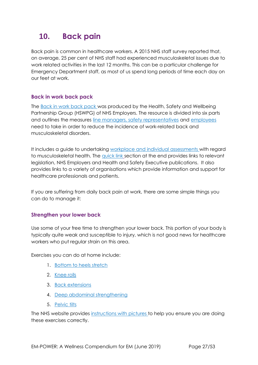## <span id="page-26-0"></span>**10. Back pain**

Back pain is common in healthcare workers. A 2015 NHS staff survey reported that, on average, 25 per cent of NHS staff had experienced musculoskeletal issues due to work related activities in the last 12 months. This can be a particular challenge for Emergency Department staff, as most of us spend long periods of time each day on our feet at work.

## **Back in work back pack**

The [Back in work back pack](https://www.nhsemployers.org/case-studies-and-resources/2015/10/back-in-work-back-pack) was produced by the Health, Safety and Wellbeing Partnership Group (HSWPG) of NHS Employers. The resource is divided into six parts and outlines the measures [line managers,](https://www.nhsemployers.org/-/media/Employers/Documents/Retain-and-improve/Back-in-Work/Back-in-work-part-3-The-line-managers-guide-web-final-25-March.pdf?la=en&hash=A9974925DCFE175F17BEBDB30387BFB6F45F06AD) [safety representatives](https://www.nhsemployers.org/-/media/Employers/Documents/Retain-and-improve/Back-in-Work/Back-in-work-part-4-The-safety-representatives-guide-web-final-25-March.pdf?la=en&hash=4E7660F62AE6C08661B859824291F882060925D1) and [employees](https://www.nhsemployers.org/-/media/Employers/Documents/Retain-and-improve/Back-in-Work/Back-in-work-part-2-The-staff-guide-web-final-25-March.pdf?la=en&hash=F1D67100401D980A3F3CA9A439E12A7FBD2D9E23) need to take in order to reduce the incidence of work-related back and musculoskeletal disorders.

It includes a guide to undertaking [workplace and individual assessments](https://www.nhsemployers.org/-/media/Employers/Documents/Retain-and-improve/Back-in-Work/Back-in-work-part-5-Workplace-and-individual-assessment-tool-web-final-25-March.pdf?la=en&hash=0867A82548FE14B78AA3F0F5417125B8599E6865) with regard to musculoskeletal health. The [quick link](https://www.nhsemployers.org/-/media/Employers/Documents/Retain-and-improve/Back-in-Work/Back-in-work-part-6-Further-information-and-quick-links-web-final-25-March.pdf?la=en&hash=E89DC2AFAB224E5954BC9C1FF67446F5ABC77D10) [se](https://www.nhsemployers.org/-/media/Employers/Documents/Retain-and-improve/Back-in-Work/Back-in-work-part-6-Further-information-and-quick-links-web-final-25-March.pdf?la=en&hash=E89DC2AFAB224E5954BC9C1FF67446F5ABC77D10)ction at the end provides links to relevant legislation, NHS Employers and Health and Safety Executive publications. It also provides links to a variety of organisations which provide information and support for healthcare professionals and patients.

If you are suffering from daily back pain at work, there are some simple things you can do to manage it:

## **Strengthen your lower back**

Use some of your free time to strengthen your lower back. This portion of your body is typically quite weak and susceptible to injury, which is not good news for healthcare workers who put regular strain on this area.

Exercises you can do at home include:

- 1. [Bottom to heels stretch](https://www.nhs.uk/live-well/exercise/lower-back-pain-exercises/#bottom-to-heels-stretch)
- 2. [Knee rolls](https://www.nhs.uk/live-well/exercise/lower-back-pain-exercises/#knee-rolls)
- 3. [Back extensions](https://www.nhs.uk/live-well/exercise/lower-back-pain-exercises/#back-extensions)
- 4. [Deep abdominal strengthening](https://www.nhs.uk/live-well/exercise/lower-back-pain-exercises/#deep-abdominal-strengthening)
- 5. [Pelvic tilts](https://www.nhs.uk/live-well/exercise/lower-back-pain-exercises/#pelvic-tilts)

The NHS website provides [instructions with pictures](https://www.nhs.uk/live-well/exercise/lower-back-pain-exercises) to help you ensure you are doing these exercises correctly.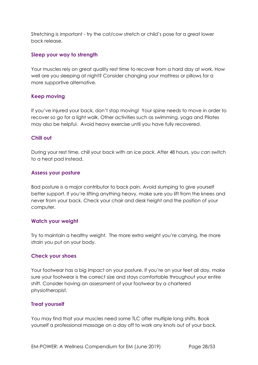Stretching is important - try the cat/cow stretch or child's pose for a great lower back release.

### **Sleep your way to strength**

Your muscles rely on great quality rest time to recover from a hard day at work. How well are you sleeping at night? Consider changing your mattress or pillows for a more supportive alternative.

## **Keep moving**

If you've injured your back, don't stop moving! Your spine needs to move in order to recover so go for a light walk. Other activities such as swimming, yoga and Pilates may also be helpful. Avoid heavy exercise until you have fully recovered.

## **Chill out**

During your rest time, chill your back with an ice pack. After 48 hours, you can switch to a heat pad instead.

### **Assess your posture**

Bad posture is a major contributor to back pain. Avoid slumping to give yourself better support. If you're lifting anything heavy, make sure you lift from the knees and never from your back. Check your chair and desk height and the position of your computer.

#### **Watch your weight**

Try to maintain a healthy weight. The more extra weight you're carrying, the more strain you put on your body.

## **Check your shoes**

Your footwear has a big impact on your posture. If you're on your feet all day, make sure your footwear is the correct size and stays comfortable throughout your entire shift. Consider having an assessment of your footwear by a chartered physiotherapist.

## **Treat yourself**

You may find that your muscles need some TLC after multiple long shifts. Book yourself a professional massage on a day off to work any knots out of your back.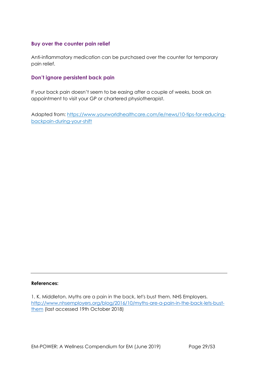## **Buy over the counter pain relief**

Anti-inflammatory medication can be purchased over the counter for temporary pain relief.

## **Don't ignore persistent back pain**

If your back pain doesn't seem to be easing after a couple of weeks, book an appointment to visit your GP or chartered physiotherapist.

Adapted from: [https://www.yourworldhealthcare.com/ie/news/10-tips-for-reducing](https://www.yourworldhealthcare.com/ie/news/10-tips-for-reducing-back-pain-during-your-shift)[backpain-during-your-shift](https://www.yourworldhealthcare.com/ie/news/10-tips-for-reducing-back-pain-during-your-shift)

#### **References:**

<sup>1.</sup> K. Middleton. Myths are a pain in the back, let's bust them. NHS Employers. [http://www.nhsemployers.org/blog/2016/10/myths-are-a-pain-in-the-back-lets-bust](http://www.nhsemployers.org/blog/2016/10/myths-are-a-pain-in-the-back-lets-bust-them)[them](http://www.nhsemployers.org/blog/2016/10/myths-are-a-pain-in-the-back-lets-bust-them) (last accessed 19th October 2018)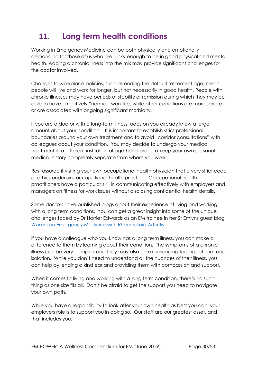## <span id="page-29-0"></span>**11. Long term health conditions**

Working in Emergency Medicine can be both physically and emotionally demanding for those of us who are lucky enough to be in good physical and mental health. Adding a chronic illness into the mix may provide significant challenges for the doctor involved.

Changes to workplace policies, such as ending the default retirement age, mean people will live and work for longer, but not necessarily in good health. People with chronic illnesses may have periods of stability or remission during which they may be able to have a relatively "normal" work life, while other conditions are more severe or are associated with ongoing significant morbidity.

If you are a doctor with a long-term illness, odds on you already know a large amount about your condition. It is important to establish strict professional boundaries around your own treatment and to avoid "corridor consultations" with colleagues about your condition. You may decide to undergo your medical treatment in a different institution altogether in order to keep your own personal medical history completely separate from where you work.

Rest assured if visiting your own occupational health physician that a very strict code of ethics underpins occupational health practice. Occupational health practitioners have a particular skill in communicating effectively with employers and managers on fitness for work issues without disclosing confidential health details.

Some doctors have published blogs about their experience of living and working with a long term conditions. You can get a great insight into some of the unique challenges faced by Dr Harriet Edwards as an EM trainee in her St Emlyns guest blog [Working in Emergency Medicine with Rheumatoid Arthritis.](https://www.rheumforimprovement.com/blog/2017/10/6/st-emlyns-working-in-emergency-medicine-with-rheumatoid-arthritis)

If you have a colleague who you know has a long term illness, you can make a difference to them by learning about their condition. The symptoms of a chronic illness can be very complex and they may also be experiencing feelings of grief and isolation. While you don't need to understand all the nuances of their illness, you can help by lending a kind ear and providing them with compassion and support.

When it comes to living and working with a long term condition, there's no such thing as one size fits all. Don't be afraid to get the support you need to navigate your own path.

While you have a responsibility to look after your own health as best you can, your employers role is to support you in doing so. Our staff are our greatest asset, and that includes you.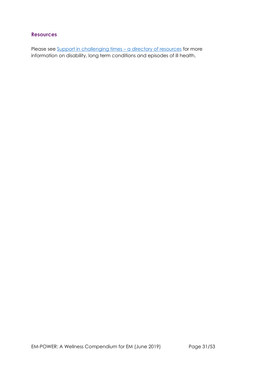## **Resources**

Please see [Support in challenging times](#page-37-0) - a directory of resources for more information on disability, long term conditions and episodes of ill health.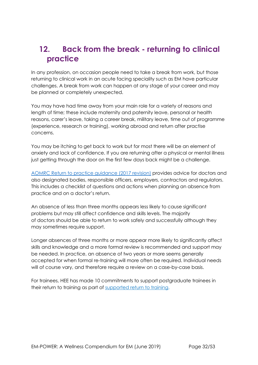## <span id="page-31-0"></span>**12. Back from the break - returning to clinical practice**

In any profession, on occasion people need to take a break from work, but those returning to clinical work in an acute facing speciality such as EM have particular challenges. A break from work can happen at any stage of your career and may be planned or completely unexpected.

You may have had time away from your main role for a variety of reasons and length of time; these include maternity and paternity leave, personal or health reasons, carer's leave, taking a career break, military leave, time out of programme (experience, research or training), working abroad and return after practise concerns.

You may be itching to get back to work but for most there will be an element of anxiety and lack of confidence. If you are returning after a physical or mental illness just getting through the door on the first few days back might be a challenge.

[AOMRC Return to practice guidance \(2017 revision\)](http://www.aomrc.org.uk/wp-content/uploads/2017/06/Return_to_Practice_guidance_2017_Revison_0617-2.pdf) provides advice for doctors and also designated bodies, responsible officers, employers, contractors and regulators. This includes a checklist of questions and actions when planning an absence from practice and on a doctor's return.

An absence of less than three months appears less likely to cause significant problems but may still affect confidence and skills levels. The majority of doctors should be able to return to work safely and successfully although they may sometimes require support.

Longer absences of three months or more appear more likely to significantly affect skills and knowledge and a more formal review is recommended and support may be needed. In practice, an absence of two years or more seems generally accepted for when formal re-training will more often be required. Individual needs will of course vary, and therefore require a review on a case-by-case basis.

For trainees, HEE has made 10 commitments to support postgraduate trainees in their return to training as part of [supported return to training.](https://www.hee.nhs.uk/sites/default/files/documents/Supported%20Return%20to%20Training.pdf)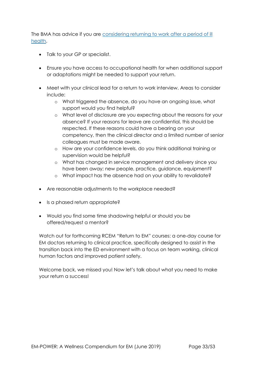The BMA has advice if you are considering returning to work after a period of ill [health.](https://www.bma.org.uk/advice/career/applying-for-a-job/returning-to-clinical-practice-after-absence/preparing-for-a-return-to-work)

- Talk to your GP or specialist.
- Ensure you have access to occupational health for when additional support or adaptations might be needed to support your return.
- Meet with your clinical lead for a return to work interview. Areas to consider include:
	- o What triggered the absence, do you have an ongoing issue, what support would you find helpful?
	- o What level of disclosure are you expecting about the reasons for your absence? If your reasons for leave are confidential, this should be respected. If these reasons could have a bearing on your competency, then the clinical director and a limited number of senior colleagues must be made aware.
	- o How are your confidence levels, do you think additional training or supervision would be helpful?
	- o What has changed in service management and delivery since you have been away; new people, practice, guidance, equipment?
	- o What impact has the absence had on your ability to revalidate?
- Are reasonable adjustments to the workplace needed?
- Is a phased return appropriate?
- Would you find some time shadowing helpful or should you be offered/request a mentor?

Watch out for forthcoming RCEM "Return to EM" courses: a one-day course for EM doctors returning to clinical practice, specifically designed to assist in the transition back into the ED environment with a focus on team working, clinical human factors and improved patient safety.

Welcome back, we missed you! Now let's talk about what you need to make your return a success!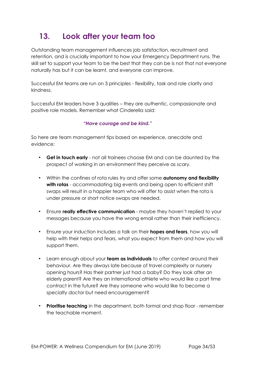## <span id="page-33-0"></span>**13. Look after your team too**

Outstanding team management influences job satisfaction, recruitment and retention, and is crucially important to how your Emergency Department runs. The skill set to support your team to be the best that they can be is not that not everyone naturally has but it can be learnt, and everyone can improve.

Successful EM teams are run on 3 principles - flexibility, task and role clarity and kindness.

Successful EM leaders have 3 qualities – they are authentic, compassionate and positive role models. Remember what Cinderella said:

### *"Have courage and be kind."*

So here are team management tips based on experience, anecdote and evidence:

- **Get in touch early** not all trainees choose EM and can be daunted by the prospect of working in an environment they perceive as scary.
- Within the confines of rota rules try and offer some **autonomy and flexibility with rotas** - accommodating big events and being open to efficient shift swaps will result in a happier team who will offer to assist when the rota is under pressure or short notice swaps are needed.
- Ensure **really effective communication** maybe they haven't replied to your messages because you have the wrong email rather than their inefficiency.
- Ensure your induction includes a talk on their **hopes and fears**, how you will help with their helps and fears, what you expect from them and how you will support them.
- Learn enough about your **team as individuals** to offer context around their behaviour. Are they always late because of travel complexity or nursery opening hours? Has their partner just had a baby? Do they look after an elderly parent? Are they an international athlete who would like a part time contract in the future? Are they someone who would like to become a specialty doctor but need encouragement?
- **Prioritise teaching** in the department, both formal and shop floor remember the teachable moment.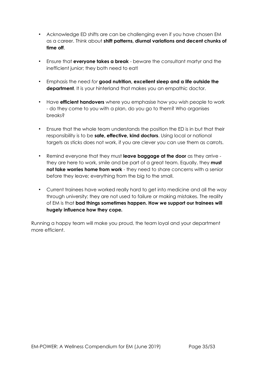- Acknowledge ED shifts are can be challenging even if you have chosen EM as a career. Think about **shift patterns, diurnal variations and decent chunks of time off**.
- Ensure that **everyone takes a break** beware the consultant martyr and the inefficient junior; they both need to eat!
- Emphasis the need *for* **good nutrition, excellent sleep and a life outside the department**. It is your hinterland that makes you an empathic doctor.
- Have **efficient handovers** where you emphasise how you wish people to work - do they come to you with a plan, do you go to them? Who organises breaks?
- Ensure that the whole team understands the position the ED is in but that their responsibility is to be **safe, effective, kind doctors**. Using local or national targets as sticks does not work, if you are clever you can use them as carrots.
- Remind everyone that they must **leave baggage at the door** as they arrive they are here to work, smile and be part of a great team. Equally, they **must not take worries home from work** - they need to share concerns with a senior before they leave; everything from the big to the small.
- Current trainees have worked really hard to get into medicine and all the way through university; they are not used to failure or making mistakes. The reality of EM is that **bad things sometimes happen. How we support our trainees will hugely influence how they cope***.*

Running a happy team will make you proud, the team loyal and your department more efficient.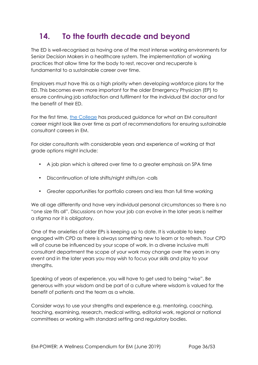## <span id="page-35-0"></span>**14. To the fourth decade and beyond**

The ED is well-recognised as having one of the most intense working environments for Senior Decision Makers in a healthcare system. The implementation of working practices that allow time for the body to rest, recover and recuperate is fundamental to a sustainable career over time.

Employers must have this as a high priority when developing workforce plans for the ED. This becomes even more important for the older Emergency Physician (EP) to ensure continuing job satisfaction and fulfilment for the individual EM doctor and for the benefit of their ED.

For the first time, [the College](mailto:https://www.rcem.ac.uk//docs/Workforce/RCEM_Consultant_Workforce_Document_(revised_Feb_2019).pdf) has produced guidance for what an EM consultant career might look like over time as part of recommendations for ensuring sustainable consultant careers in EM.

For older consultants with considerable years and experience of working at that grade options might include:

- A job plan which is altered over time to a greater emphasis on SPA time
- Discontinuation of late shifts/night shifts/on -calls
- Greater opportunities for portfolio careers and less than full time working

We all age differently and have very individual personal circumstances so there is no "one size fits all". Discussions on how your job can evolve in the later years is neither a stigma nor it is obligatory.

One of the anxieties of older EPs is keeping up to date. It is valuable to keep engaged with CPD as there is always something new to learn or to refresh. Your CPD will of course be influenced by your scope of work. In a diverse inclusive multi consultant department the scope of your work may change over the years in any event and in the later years you may wish to focus your skills and play to your strengths.

Speaking of years of experience, you will have to get used to being "wise". Be generous with your wisdom and be part of a culture where wisdom is valued for the benefit of patients and the team as a whole.

Consider ways to use your strengths and experience e.g. mentoring, coaching, teaching, examining, research, medical writing, editorial work, regional or national committees or working with standard setting and regulatory bodies.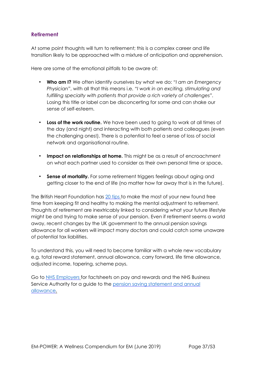## **Retirement**

At some point thoughts will turn to retirement; this is a complex career and life transition likely to be approached with a mixture of anticipation and apprehension.

Here are some of the emotional pitfalls to be aware of:

- **Who am I?** We often identify ourselves by what we do: *"I am an Emergency Physician"*, with all that this means i.e. *"I work in an exciting, stimulating and fulfilling specialty with patients that provide a rich variety of challenges".* Losing this title or label can be disconcerting for some and can shake our sense of self-esteem.
- **Loss of the work routine.** We have been used to going to work at all times of the day (and night) and interacting with both patients and colleagues (even the challenging ones!). There is a potential to feel a sense of loss of social network and organisational routine.
- **Impact on relationships at home.** This might be as a result of encroachment on what each partner used to consider as their own personal time or space**.**
- **Sense of mortality.** For some retirement triggers feelings about aging and getting closer to the end of life (no matter how far away that is in the future).

The British Heart Foundation has [20 tips](https://www.bhf.org.uk/informationsupport/heart-matters-magazine/wellbeing/retirement/retirement-tips) to make the most of your new found free time from keeping fit and healthy to making the mental adjustment to retirement. Thoughts of retirement are inextricably linked to considering what your future lifestyle might be and trying to make sense of your pension. Even if retirement seems a world away, recent changes by the UK government to the annual pension savings allowance for all workers will impact many doctors and could catch some unaware of potential tax liabilities.

To understand this, you will need to become familiar with a whole new vocabulary e.g. total reward statement, annual allowance, carry forward, life time allowance, adjusted income, tapering, scheme pays.

Go to [NHS Employers](https://www.nhsemployers.org/) for factsheets on pay and rewards and the NHS Business Service Authority for a guide to the [pension saving statement and annual](https://www.nhsbsa.nhs.uk/sites/default/files/2018-10/Pensions-Saving-Statement-Guide-V1-102018-book.pdf) [allowance.](https://www.nhsbsa.nhs.uk/sites/default/files/2018-10/Pensions-Saving-Statement-Guide-V1-102018-book.pdf)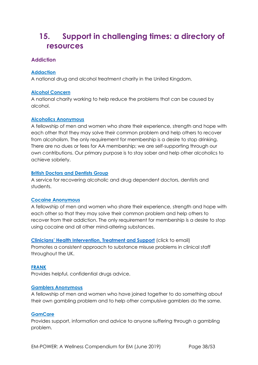## <span id="page-37-0"></span>**15. Support in challenging times: a directory of resources**

## <span id="page-37-1"></span>**Addiction**

### **[Addaction](http://www.addaction.org.uk/)**

A national drug and alcohol treatment charity in the United Kingdom.

#### **[Alcohol](http://www.alcoholconcern.org.uk/) [Concern](http://www.alcoholconcern.org.uk/)**

A national charity working to help reduce the problems that can be caused by alcohol.

#### **[Alcoholics](http://www.alcoholics-anonymous.org.uk/) [Anonymous](http://www.alcoholics-anonymous.org.uk/)**

A fellowship of men and women who share their experience, strength and hope with each other that they may solve their common problem and help others to recover from alcoholism. The only requirement for membership is a desire to stop drinking. There are no dues or fees for AA membership; we are self-supporting through our own contributions. Our primary purpose is to stay sober and help other alcoholics to achieve sobriety.

#### **[British](http://www.bddg.org/) [Doctors](http://www.bddg.org/) [and](http://www.bddg.org/) [Dentists](http://www.bddg.org/) [Group](http://www.bddg.org/)**

A service for recovering alcoholic and drug dependent doctors, dentists and students.

#### **[Cocaine Anonymous](https://cocaineanonymous.org.uk/)**

A fellowship of men and women who share their experience, strength and hope with each other so that they may solve their common problem and help others to recover from their addiction. The only requirement for membership is a desire to stop using cocaine and all other mind-altering substances.

**[Clinicians' Health Intervention, Treatment and Support](mailto:avoca@birdsgrove.freeserve.co.uk)** (click to email) Promotes a consistent approach to substance misuse problems in clinical staff throughout the UK.

#### **[FRANK](http://www.talktofrank.com/)**

Provides helpful, confidential drugs advice.

#### **[Gamblers](http://www.gamblersanonymous.org.uk/) [Anonymous](http://www.gamblersanonymous.org.uk/)**

A fellowship of men and women who have joined together to do something about their own gambling problem and to help other compulsive gamblers do the same.

#### **[GamCare](http://www.gamcare.org.uk/)**

Provides support, information and advice to anyone suffering through a gambling problem.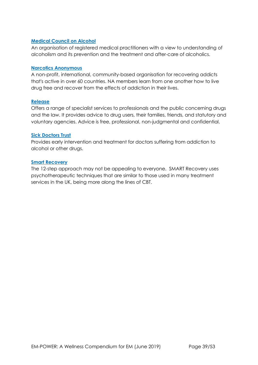#### **[Medical](http://www.m-c-a.org.uk/) [Council](http://www.m-c-a.org.uk/) [on](http://www.m-c-a.org.uk/) [Alcohol](http://www.m-c-a.org.uk/)**

An organisation of registered medical practitioners with a view to understanding of alcoholism and its prevention and the treatment and after-care of alcoholics.

#### **[Narcotics](http://www.ukna.org/) [Anonymous](http://www.ukna.org/)**

A non-profit, international, community-based organisation for recovering addicts that's active in over 60 countries. NA members learn from one another how to live drug free and recover from the effects of addiction in their lives.

#### **[Release](http://www.release.org.uk/)**

Offers a range of specialist services to professionals and the public concerning drugs and the law. It provides advice to drug users, their families, friends, and statutory and voluntary agencies. Advice is free, professional, non-judgmental and confidential.

#### **[Sick](http://www.sick-doctors-trust.co.uk/) [Doctors](http://www.sick-doctors-trust.co.uk/) [Trust](http://www.sick-doctors-trust.co.uk/)**

Provides early intervention and treatment for doctors suffering from addiction to alcohol or other drugs.

#### **[Smart Recovery](https://www.smartrecovery.org.uk/)**

The 12-step approach may not be appealing to everyone. SMART Recovery uses psychotherapeutic techniques that are similar to those used in many treatment services in the UK, being more along the lines of CBT.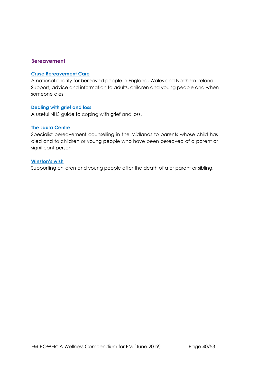### <span id="page-39-0"></span>**Bereavement**

#### **[Cruse](https://www.cruse.org.uk/) [Bereavement](https://www.cruse.org.uk/) [Care](https://www.cruse.org.uk/)**

A national charity for bereaved people in England, Wales and Northern Ireland. Support, advice and information to adults, children and young people and when someone dies.

#### **[Dealing](https://www.nhs.uk/Livewell/emotionalhealth/Pages/Dealingwithloss.aspx) [with](https://www.nhs.uk/Livewell/emotionalhealth/Pages/Dealingwithloss.aspx) [grief](https://www.nhs.uk/Livewell/emotionalhealth/Pages/Dealingwithloss.aspx) [and](https://www.nhs.uk/Livewell/emotionalhealth/Pages/Dealingwithloss.aspx) [loss](https://www.nhs.uk/Livewell/emotionalhealth/Pages/Dealingwithloss.aspx)**

A useful NHS guide to coping with grief and loss.

#### **[The Laura Centre](http://thelauracentre.org.uk/)**

Specialist bereavement counselling in the Midlands to parents whose child has died and to children or young people who have been bereaved of a parent or significant person.

#### **[Winston's](https://www.winstonswish.org/) [wish](https://www.winstonswish.org/)**

Supporting children and young people after the death of a or parent or sibling.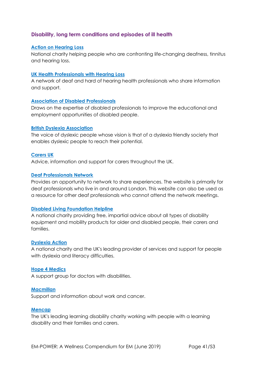## <span id="page-40-0"></span>**Disability, long term conditions and episodes of ill health**

#### **[Action](https://www.actiononhearingloss.org.uk/) [on](https://www.actiononhearingloss.org.uk/) [Hearing](https://www.actiononhearingloss.org.uk/) [Loss](https://www.actiononhearingloss.org.uk/)**

National charity helping people who are confronting life-changing deafness, tinnitus and hearing loss.

#### **[UK](http://hphl.org.uk/) [Health](http://hphl.org.uk/) [Professionals](http://hphl.org.uk/) [with](http://hphl.org.uk/) [Hearing](http://hphl.org.uk/) [Loss](http://hphl.org.uk/)**

A network of deaf and hard of hearing health professionals who share information and support.

#### **[Association](http://www.adp.org.uk/) [of](http://www.adp.org.uk/) [Disabled](http://www.adp.org.uk/) [Professionals](http://www.adp.org.uk/)**

Draws on the expertise of disabled professionals to improve the educational and employment opportunities of disabled people.

#### **[British](http://www.bdadyslexia.org.uk/) [Dyslexia](http://www.bdadyslexia.org.uk/) [Association](http://www.bdadyslexia.org.uk/)**

The voice of dyslexic people whose vision is that of a dyslexia friendly society that enables dyslexic people to reach their potential.

#### **[Carers](http://www.carersuk.org/) [UK](http://www.carersuk.org/)**

Advice, information and support for carers throughout the UK.

#### **[Deaf](http://deafprofessionals.wordpress.com/) [Professionals](http://deafprofessionals.wordpress.com/) [Network](http://deafprofessionals.wordpress.com/)**

Provides an opportunity to network to share experiences. The website is primarily for deaf professionals who live in and around London. This website can also be used as a resource for other deaf professionals who cannot attend the network meetings.

#### **[Disabled](http://www.dlf.org.uk/) [Living](http://www.dlf.org.uk/) [Foundation](http://www.dlf.org.uk/) [Helpline](http://www.dlf.org.uk/)**

A national charity providing free, impartial advice about all types of disability equipment and mobility products for older and disabled people, their carers and families.

#### **[Dyslexia](http://www.dyslexiaaction.org.uk/) [Action](http://www.dyslexiaaction.org.uk/)**

A national charity and the UK's leading provider of services and support for people with dyslexia and literacy difficulties.

#### **[Hope](http://www.hope4medics.co.uk/about.php) [4](http://www.hope4medics.co.uk/about.php) [Medics](http://www.hope4medics.co.uk/about.php)**

A support group for doctors with disabilities.

#### **[Macmillan](http://www.macmillan.org.uk/Cancerinformation/Livingwithandaftercancer/Workandcancer/Workandcancer.aspx)**

Support and information about work and cancer.

#### **[Mencap](http://www.mencap.org.uk/)**

The UK's leading learning disability charity working with people with a learning disability and their families and carers.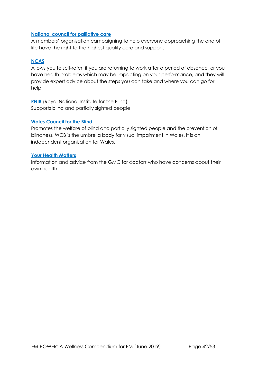#### **[National council for palliative care](http://www.ncpc.org.uk/)**

A members' organisation campaigning to help everyone approaching the end of life have the right to the highest quality care and support.

### **[NCAS](http://www.ncas.nhs.uk/accessing-case-services/case-services-overview/)**

Allows you to self-refer, if you are returning to work after a period of absence, or you have health problems which may be impacting on your performance, and they will provide expert advice about the steps you can take and where you can go for help.

**[RNIB](http://www.rnib.org.uk/)** (Royal National Institute for the Blind) Supports blind and partially sighted people.

#### **[Wales](http://www.wcb-ccd.org.uk/index2.php) [Council](http://www.wcb-ccd.org.uk/index2.php) [for](http://www.wcb-ccd.org.uk/index2.php) [the](http://www.wcb-ccd.org.uk/index2.php) [Blind](http://www.wcb-ccd.org.uk/index2.php)**

Promotes the welfare of blind and partially sighted people and the prevention of blindness. WCB is the umbrella body for visual impairment in Wales. It is an independent organisation for Wales.

#### **[Your Health Matters](http://www.gmc-uk.org/doctorshealth)**

Information and advice from the GMC for doctors who have concerns about their own health.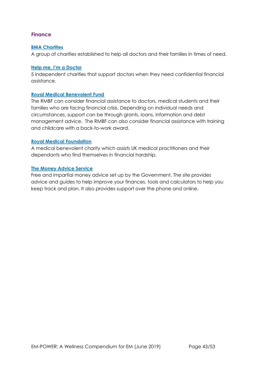## <span id="page-42-0"></span>**Finance**

#### **[BMA](http://www.bma.org.uk/about-the-bma/what-we-do/bma-charities) [Charities](http://www.bma.org.uk/about-the-bma/what-we-do/bma-charities)**

A group of charities established to help all doctors and their families in times of need.

#### **[Help](http://www.doctorshelp.org.uk/) [me,](http://www.doctorshelp.org.uk/) [I'm](http://www.doctorshelp.org.uk/) [a](http://www.doctorshelp.org.uk/) [Doctor](http://www.doctorshelp.org.uk/)**

5 independent charities that support doctors when they need confidential financial assistance.

#### **[Royal](http://www.rmbf.org/) [Medical](http://www.rmbf.org/) [Benevolent](http://www.rmbf.org/) [Fund](http://www.rmbf.org/)**

The RMBF can consider financial assistance to doctors, medical students and their families who are facing financial crisis. Depending on individual needs and circumstances, support can be through grants, loans, information and debt management advice. The RMBF can also consider financial assistance with training and childcare with a back-to-work award.

#### **[Royal](http://www.royalmedicalfoundation.org/) [Medical](http://www.royalmedicalfoundation.org/) [Foundation](http://www.royalmedicalfoundation.org/)**

A medical benevolent charity which assists UK medical practitioners and their dependants who find themselves in financial hardship.

#### **[The](https://www.moneyadviceservice.org.uk/en) [Money](https://www.moneyadviceservice.org.uk/en) [Advice](https://www.moneyadviceservice.org.uk/en) [Service](https://www.moneyadviceservice.org.uk/en)**

Free and impartial money advice set up by the Government. The site provides advice and guides to help improve your finances, tools and calculators to help you keep track and plan. It also provides support over the phone and online.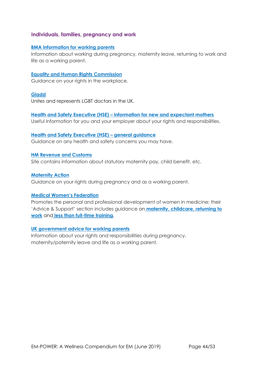### <span id="page-43-0"></span>**Individuals, families, pregnancy and work**

#### **[BMA information for working parents](http://bma.org.uk/maternity)**

Information about working during pregnancy, maternity leave, returning to work and life as a working parent.

#### **[Equality and Human Rights Commission](http://equalityhumanrights.com/)**

Guidance on your rights in the workplace.

#### **[Gladd](http://www.gladd.co.uk/)**

Unites and represents LGBT doctors in the UK.

## **[Health and Safety Executive \(HSE\)](http://www.hse.gov.uk/mothers/) [–](http://www.hse.gov.uk/mothers/) [information for new and expectant mothers](http://www.hse.gov.uk/mothers/)**

Useful information for you and your employer about your rights and responsibilities.

#### **[Health and Safety Executive \(HSE\)](http://www.hse.gov.uk/) [–](http://www.hse.gov.uk/) [general guidance](http://www.hse.gov.uk/)**

Guidance on any health and safety concerns you may have.

#### **[HM Revenue and Customs](http://www.hmrc.gov.uk/)**

Site contains information about statutory maternity pay, child benefit, etc.

#### **[Maternity Action](http://maternityaction.org.uk/)**

Guidance on your rights during pregnancy and as a working parent.

#### **[Medical Women's Federation](http://www.medicalwomensfederation.org.uk/)**

Promotes the personal and professional development of women in medicine; their 'Advice & Support' section includes guidance on **[maternity,](http://www.medicalwomensfederation.org.uk/advice-support/maternity-advice) [childcare,](http://www.medicalwomensfederation.org.uk/advice-support/childcare-advice) [returning to](http://www.medicalwomensfederation.org.uk/advice-support/return-to-work-advice) [work](http://www.medicalwomensfederation.org.uk/advice-support/return-to-work-advice)** and **[less than full-time training.](http://www.medicalwomensfederation.org.uk/advice-support/less-than-full-time-training)**

#### **[UK government advice for working parents](https://www.gov.uk/browse/employing-people/time-off)**

Information about your rights and responsibilities during pregnancy, maternity/paternity leave and life as a working parent.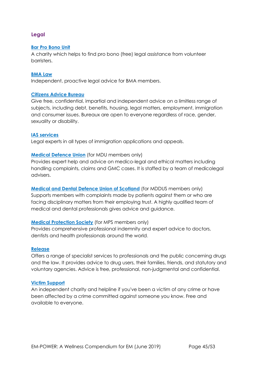## <span id="page-44-0"></span>**Legal**

#### **[Bar](https://weareadvocate.org.uk/) [Pro](https://weareadvocate.org.uk/) [Bono](https://weareadvocate.org.uk/) [Unit](https://weareadvocate.org.uk/)**

A charity which helps to find pro bono (free) legal assistance from volunteer barristers.

#### **[BMA](http://bmalaw.co.uk/) [Law](http://bmalaw.co.uk/)**

Independent, proactive legal advice for BMA members.

#### **[Citizens](https://www.citizensadvice.org.uk/) [Advice](https://www.citizensadvice.org.uk/) [Bureau](https://www.citizensadvice.org.uk/)**

Give free, confidential, impartial and independent advice on a limitless range of subjects, including debt, benefits, housing, legal matters, employment, immigration and consumer issues. Bureaux are open to everyone regardless of race, gender, sexuality or disability.

#### **[IAS](https://iasservices.org.uk/) [services](https://iasservices.org.uk/)**

Legal experts in all types of immigration applications and appeals.

#### **[Medical](http://www.themdu.com/) [Defence](http://www.themdu.com/) [Union](http://www.themdu.com/)** (for MDU members only)

Provides expert help and advice on medico-legal and ethical matters including handling complaints, claims and GMC cases. It is staffed by a team of medicolegal advisers.

**[Medical](http://www.mddus.com/) [and](http://www.mddus.com/) [Dental](http://www.mddus.com/) [Defence](http://www.mddus.com/) [Union](http://www.mddus.com/) [of](http://www.mddus.com/) [Scotland](http://www.mddus.com/)** (for MDDUS members only) Supports members with complaints made by patients against them or who are facing disciplinary matters from their employing trust. A highly qualified team of medical and dental professionals gives advice and guidance.

#### **[Medical](http://www.medicalprotection.org/uk) [Protection](http://www.medicalprotection.org/uk) [Society](http://www.medicalprotection.org/uk)** (for MPS members only)

Provides comprehensive professional indemnity and expert advice to doctors, dentists and health professionals around the world.

#### **[Release](http://www.release.org.uk/)**

Offers a range of specialist services to professionals and the public concerning drugs and the law. It provides advice to drug users, their families, friends, and statutory and voluntary agencies. Advice is free, professional, non-judgmental and confidential.

#### **[Victim](http://www.victimsupport.org.uk/) [Support](http://www.victimsupport.org.uk/)**

An independent charity and helpline if you've been a victim of any crime or have been affected by a crime committed against someone you know. Free and available to everyone.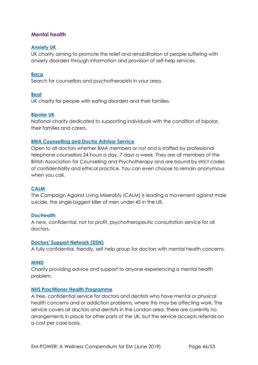### <span id="page-45-0"></span>**Mental health**

#### **[Anxiety](http://www.anxietyuk.org.uk/) [UK](http://www.anxietyuk.org.uk/)**

UK charity aiming to promote the relief and rehabilitation of people suffering with anxiety disorders through information and provision of self-help services.

#### **[Bacp](https://www.bacp.co.uk/)**

Search for counsellors and psychotherapists in your area.

#### **[Beat](http://www.b-eat.co.uk/Home)**

UK charity for people with eating disorders and their families.

#### **[Bipolar](https://www.bipolaruk.org/) [UK](https://www.bipolaruk.org/)**

National charity dedicated to supporting individuals with the condition of bipolar, their families and carers.

#### **[BMA Counselling and Doctor Advisor Service](https://www.bma.org.uk/advice/work-life-support/your-wellbeing/bma-counselling-and-doctor-advisor-service)**

Open to all doctors whether BMA members or not and is staffed by professional telephone counsellors 24 hours a day, 7 days a week. They are all members of the British Association for Counselling and Psychotherapy and are bound by strict codes of confidentiality and ethical practice. You can even choose to remain anonymous when you call.

#### **[CALM](https://www.thecalmzone.net/)**

The Campaign Against Living Miserably (CALM) is leading a movement against male suicide, the single biggest killer of men under 45 in the UK.

#### **[DocHealth](http://www.dochealth.org.uk/)**

A new, confidential, not for profit, psychotherapeutic consultation service for all doctors.

#### **[Doctors'](http://www.dsn.org.uk/) [Support](http://www.dsn.org.uk/) [Network](http://www.dsn.org.uk/) [\(DSN\)](http://www.dsn.org.uk/)**

A fully confidential, friendly, self-help group for doctors with mental health concerns.

#### **[MIND](http://www.mind.org.uk/)**

Charity providing advice and support to anyone experiencing a mental health problem.

#### **[NHS](http://www.php.nhs.uk/) [Practitioner](http://www.php.nhs.uk/) [Health](http://www.php.nhs.uk/) [Programme](http://www.php.nhs.uk/)**

A free, confidential service for doctors and dentists who have mental or physical health concerns and or addiction problems, where this may be affecting work. The service covers all doctors and dentists in the London area. There are currently no arrangements in place for other parts of the UK, but the service accepts referrals on a cost per case basis.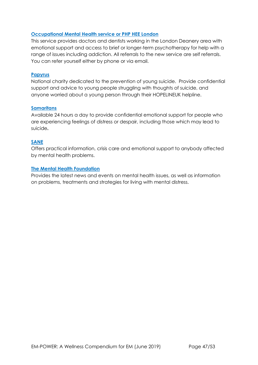#### **[Occupational](http://www.lpmde.ac.uk/professional-development/php-hee) [Mental](http://www.lpmde.ac.uk/professional-development/php-hee) [Health](http://www.lpmde.ac.uk/professional-development/php-hee) [service](http://www.lpmde.ac.uk/professional-development/php-hee) [or](http://www.lpmde.ac.uk/professional-development/php-hee) [PHP](http://www.lpmde.ac.uk/professional-development/php-hee) [HEE](http://www.lpmde.ac.uk/professional-development/php-hee) [London](http://www.lpmde.ac.uk/professional-development/php-hee)**

This service provides doctors and dentists working in the London Deanery area with emotional support and access to brief or longer-term psychotherapy for help with a range of issues including addiction. All referrals to the new service are self referrals. You can refer yourself either by phone or via email.

#### **[Papyrus](http://www.papyrus-uk.org/)**

National charity dedicated to the prevention of young suicide. Provide confidential support and advice to young people struggling with thoughts of suicide, and anyone worried about a young person through their HOPELINEUK helpline.

#### **[Samaritans](http://www.samaritans.org/)**

Available 24 hours a day to provide confidential emotional support for people who are experiencing feelings of distress or despair, including those which may lead to suicide**.** 

#### **[SANE](http://www.sane.org.uk/)**

Offers practical information, crisis care and emotional support to anybody affected by mental health problems.

#### **[The](http://www.mentalhealth.org.uk/) [Mental](http://www.mentalhealth.org.uk/) [Health](http://www.mentalhealth.org.uk/) [Foundation](http://www.mentalhealth.org.uk/)**

Provides the latest news and events on mental health issues, as well as information on problems, treatments and strategies for living with mental distress.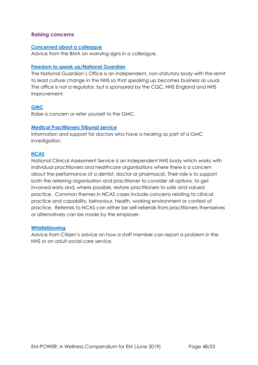#### <span id="page-47-0"></span>**Raising concerns**

#### **[Concerned about a colleague](https://www.bma.org.uk/advice/work-life-support/your-wellbeing/concerned-about-a-colleague/worrying-signs)**

Advice from the BMA on worrying signs in a colleague.

#### **[Freedom to speak up/National Guardian](https://www.cqc.org.uk/national-guardians-office/content/national-guardians-office)**

The National Guardian's Office is an independent, non-statutory body with the remit to lead culture change in the NHS so that speaking up becomes business as usual. The office is not a regulator, but is sponsored by the CQC, NHS England and NHS Improvement.

#### **[GMC](https://www.gmc-uk.org/concerns/raise-a-concern-about-a-doctor)**

Raise a concern or refer yourself to the GMC.

#### **[Medical](http://www.mpts-uk.org/hearing/11905.asp) [Practitioners](http://www.mpts-uk.org/hearing/11905.asp) [Tribunal](http://www.mpts-uk.org/hearing/11905.asp) [service](http://www.mpts-uk.org/hearing/11905.asp)**

Information and support for doctors who have a hearing as part of a GMC investigation.

#### **[NCAS](https://www.ncas.nhs.uk/)**

National Clinical Assessment Service is an independent NHS body which works with individual practitioners and healthcare organisations where there is a concern about the performance of a dentist, doctor or pharmacist. Their role is to support both the referring organisation and practitioner to consider all options, to get involved early and, where possible, restore practitioners to safe and valued practice. Common themes in NCAS cases include concerns relating to clinical practice and capability, behaviour, health, working environment or context of practice. Referrals to NCAS can either be self-referrals from practitioners themselves or alternatively can be made by the employer.

#### **[Whistleblowing](https://www.citizensadvice.org.uk/health/nhs-and-social-care-complaints/whistleblowing-how-a-staff-member-can-report-a-problem-in-the-nhs-or-an-adult-social-care-service)**

Advice from Citizen's advice on how a staff member can report a problem in the NHS or an adult social care service.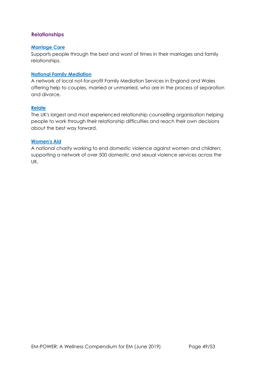## <span id="page-48-0"></span>**Relationships**

#### **[Marriage](http://www.marriagecare.org.uk/) [Care](http://www.marriagecare.org.uk/)**

Supports people through the best and worst of times in their marriages and family relationships.

#### **[National](http://www.nfm.org.uk/) [Family](http://www.nfm.org.uk/) [Mediation](http://www.nfm.org.uk/)**

A network of local not-for-profit Family Mediation Services in England and Wales offering help to couples, married or unmarried, who are in the process of separation and divorce.

#### **[Relate](http://www.relate.org.uk/)**

The UK's largest and most experienced relationship counselling organisation helping people to work through their relationship difficulties and reach their own decisions about the best way forward.

#### **[Women's](https://www.google.com/search?q=women%27s+aid&rlz=1C1CHBF_en-GBGB773GB773&oq=wom&aqs=chrome.0.69i59j69i57j69i60j0l3.3495j0j8&sourceid=chrome&ie=UTF-8) [Aid](https://www.google.com/search?q=women%27s+aid&rlz=1C1CHBF_en-GBGB773GB773&oq=wom&aqs=chrome.0.69i59j69i57j69i60j0l3.3495j0j8&sourceid=chrome&ie=UTF-8)**

A national charity working to end domestic violence against women and children; supporting a network of over 500 domestic and sexual violence services across the UK.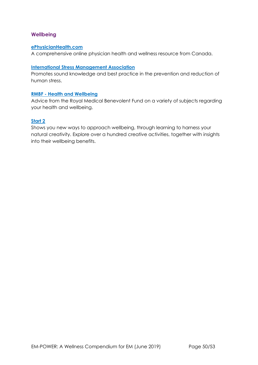### <span id="page-49-0"></span>**Wellbeing**

#### **[ePhysicianHealth.com](http://ephysicianhealth.com/)**

A comprehensive online physician health and wellness resource from Canada.

#### **[International Stress Management Association](http://www.isma.org.uk/)**

Promotes sound knowledge and best practice in the prevention and reduction of human stress.

#### **[RMBF -](http://www.rmbf.org/health-and-wellbeing/) [Health and Wellbeing](http://www.rmbf.org/health-and-wellbeing/)**

Advice from the Royal Medical Benevolent Fund on a variety of subjects regarding your health and wellbeing.

#### **[Start 2](http://www.start2.co.uk/)**

Shows you new ways to approach wellbeing, through learning to harness your natural creativity. Explore over a hundred creative activities, together with insights into their wellbeing benefits.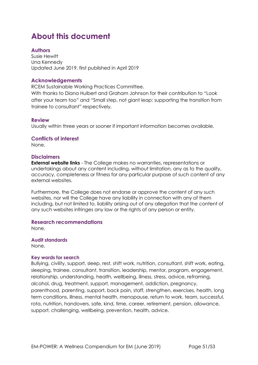## <span id="page-50-0"></span>**About this document**

### <span id="page-50-1"></span>**Authors**

Susie Hewitt Una Kennedy Updated June 2019, first published in April 2019

#### **Acknowledgements**

RCEM Sustainable Working Practices Committee.

With thanks to Diana Hulbert and Graham Johnson for their contribution to "Look after your team too" and "Small step, not giant leap: supporting the transition from trainee to consultant" respectively.

#### **Review**

Usually within three years or sooner if important information becomes available.

#### **Conflicts of interest**

None.

#### **Disclaimers**

**External website links** - The College makes no warranties, representations or undertakings about any content including, without limitation, any as to the quality, accuracy, completeness or fitness for any particular purpose of such content of any external websites.

Furthermore, the College does not endorse or approve the content of any such websites, nor will the College have any liability in connection with any of them including, but not limited to, liability arising out of any allegation that the content of any such websites infringes any law or the rights of any person or entity.

#### **Research recommendations**

None.

**Audit standards**  None.

#### **Key words for search**

Bullying, civility, support, sleep, rest, shift work, nutrition, consultant, shift work, eating, sleeping, trainee, consultant, transition, leadership, mentor, program, engagement, relationship, understanding, health, wellbeing, illness, stress, advice, reframing, alcohol, drug, treatment, support, management, addiction, pregnancy, parenthood, parenting, support, back pain, staff, strengthen, exercises, health, long term conditions, illness, mental health, menopause, return to work, team, successful, rota, nutrition, handovers, safe, kind, time, career, retirement, pension, allowance, support, challenging, wellbeing, prevention, health, advice.